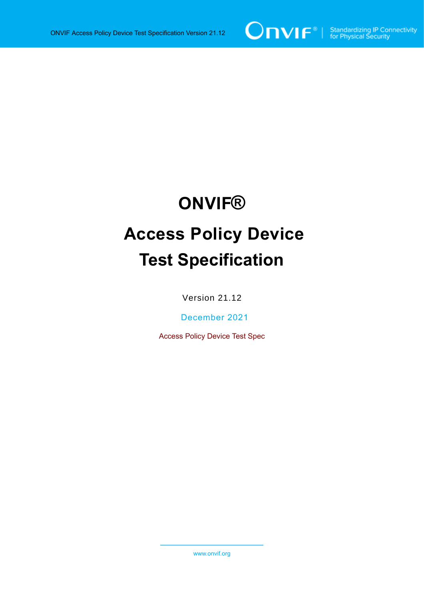

# **ONVIF®**

# **Access Policy Device Test Specification**

Version 21.12

December 2021

Access Policy Device Test Spec

www.onvif.org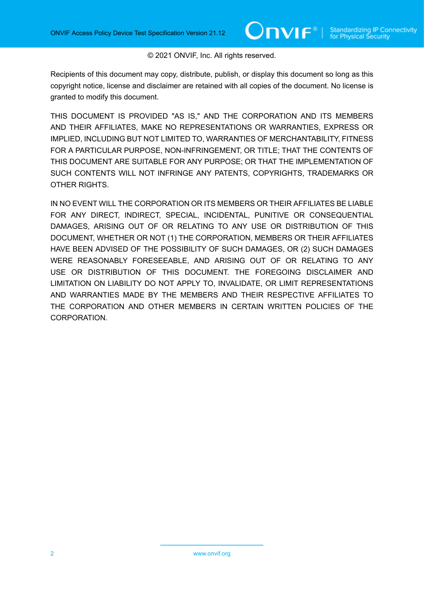#### © 2021 ONVIF, Inc. All rights reserved.

Recipients of this document may copy, distribute, publish, or display this document so long as this copyright notice, license and disclaimer are retained with all copies of the document. No license is granted to modify this document.

THIS DOCUMENT IS PROVIDED "AS IS," AND THE CORPORATION AND ITS MEMBERS AND THEIR AFFILIATES, MAKE NO REPRESENTATIONS OR WARRANTIES, EXPRESS OR IMPLIED, INCLUDING BUT NOT LIMITED TO, WARRANTIES OF MERCHANTABILITY, FITNESS FOR A PARTICULAR PURPOSE, NON-INFRINGEMENT, OR TITLE; THAT THE CONTENTS OF THIS DOCUMENT ARE SUITABLE FOR ANY PURPOSE; OR THAT THE IMPLEMENTATION OF SUCH CONTENTS WILL NOT INFRINGE ANY PATENTS, COPYRIGHTS, TRADEMARKS OR OTHER RIGHTS.

IN NO EVENT WILL THE CORPORATION OR ITS MEMBERS OR THEIR AFFILIATES BE LIABLE FOR ANY DIRECT, INDIRECT, SPECIAL, INCIDENTAL, PUNITIVE OR CONSEQUENTIAL DAMAGES, ARISING OUT OF OR RELATING TO ANY USE OR DISTRIBUTION OF THIS DOCUMENT, WHETHER OR NOT (1) THE CORPORATION, MEMBERS OR THEIR AFFILIATES HAVE BEEN ADVISED OF THE POSSIBILITY OF SUCH DAMAGES, OR (2) SUCH DAMAGES WERE REASONABLY FORESEEABLE, AND ARISING OUT OF OR RELATING TO ANY USE OR DISTRIBUTION OF THIS DOCUMENT. THE FOREGOING DISCLAIMER AND LIMITATION ON LIABILITY DO NOT APPLY TO, INVALIDATE, OR LIMIT REPRESENTATIONS AND WARRANTIES MADE BY THE MEMBERS AND THEIR RESPECTIVE AFFILIATES TO THE CORPORATION AND OTHER MEMBERS IN CERTAIN WRITTEN POLICIES OF THE CORPORATION.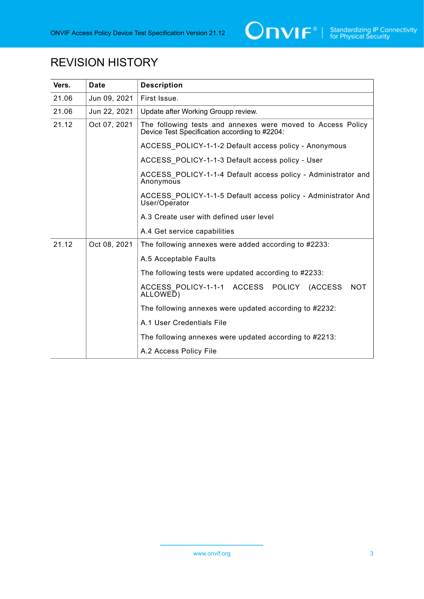

# REVISION HISTORY

| Vers. | <b>Date</b>  | <b>Description</b>                                                                                           |
|-------|--------------|--------------------------------------------------------------------------------------------------------------|
| 21.06 | Jun 09, 2021 | First Issue.                                                                                                 |
| 21.06 | Jun 22, 2021 | Update after Working Groupp review.                                                                          |
| 21.12 | Oct 07, 2021 | The following tests and annexes were moved to Access Policy<br>Device Test Specification according to #2204: |
|       |              | ACCESS POLICY-1-1-2 Default access policy - Anonymous                                                        |
|       |              | ACCESS POLICY-1-1-3 Default access policy - User                                                             |
|       |              | ACCESS POLICY-1-1-4 Default access policy - Administrator and<br>Anonymous                                   |
|       |              | ACCESS POLICY-1-1-5 Default access policy - Administrator And<br>User/Operator                               |
|       |              | A.3 Create user with defined user level                                                                      |
|       |              | A.4 Get service capabilities                                                                                 |
| 21.12 | Oct 08, 2021 | The following annexes were added according to #2233:                                                         |
|       |              | A.5 Acceptable Faults                                                                                        |
|       |              | The following tests were updated according to #2233:                                                         |
|       |              | ACCESS POLICY-1-1-1 ACCESS POLICY (ACCESS<br><b>NOT</b><br>ALLOWED)                                          |
|       |              | The following annexes were updated according to #2232:                                                       |
|       |              | A.1 User Credentials File                                                                                    |
|       |              | The following annexes were updated according to #2213:                                                       |
|       |              | A.2 Access Policy File                                                                                       |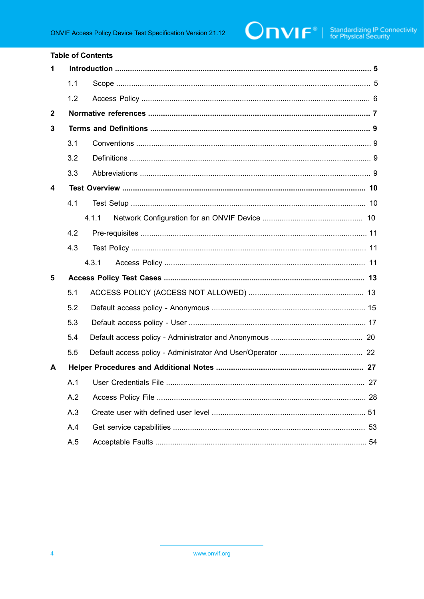|              |     | <b>Table of Contents</b> |  |  |
|--------------|-----|--------------------------|--|--|
| 1            |     |                          |  |  |
|              | 1.1 |                          |  |  |
|              | 1.2 |                          |  |  |
| $\mathbf{2}$ |     |                          |  |  |
| 3            |     |                          |  |  |
|              | 3.1 |                          |  |  |
|              | 3.2 |                          |  |  |
|              | 3.3 |                          |  |  |
| 4            |     |                          |  |  |
|              | 4.1 |                          |  |  |
|              |     | 4.1.1                    |  |  |
|              | 4.2 |                          |  |  |
|              | 4.3 |                          |  |  |
|              |     | 4.3.1                    |  |  |
| 5            |     |                          |  |  |
|              | 5.1 |                          |  |  |
|              | 5.2 |                          |  |  |
|              | 5.3 |                          |  |  |
|              | 5.4 |                          |  |  |
|              | 5.5 |                          |  |  |
| A            |     | . 27                     |  |  |
|              | A.1 |                          |  |  |
|              | A.2 |                          |  |  |
|              | A.3 |                          |  |  |
|              | A.4 |                          |  |  |
|              | A.5 |                          |  |  |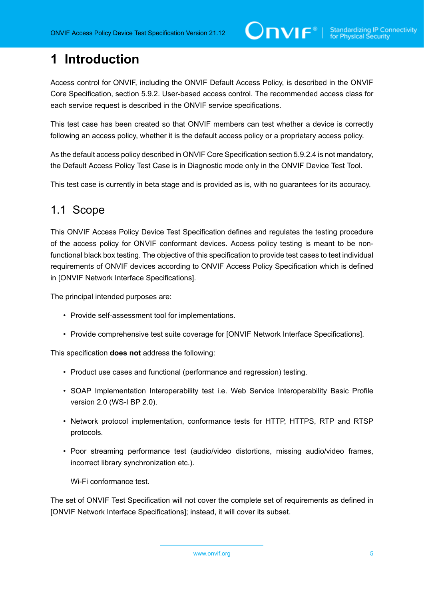# <span id="page-4-0"></span>**1 Introduction**

Access control for ONVIF, including the ONVIF Default Access Policy, is described in the ONVIF Core Specification, section 5.9.2. User-based access control. The recommended access class for each service request is described in the ONVIF service specifications.

This test case has been created so that ONVIF members can test whether a device is correctly following an access policy, whether it is the default access policy or a proprietary access policy.

As the default access policy described in ONVIF Core Specification section 5.9.2.4 is not mandatory, the Default Access Policy Test Case is in Diagnostic mode only in the ONVIF Device Test Tool.

<span id="page-4-1"></span>This test case is currently in beta stage and is provided as is, with no guarantees for its accuracy.

## 1.1 Scope

This ONVIF Access Policy Device Test Specification defines and regulates the testing procedure of the access policy for ONVIF conformant devices. Access policy testing is meant to be nonfunctional black box testing. The objective of this specification to provide test cases to test individual requirements of ONVIF devices according to ONVIF Access Policy Specification which is defined in [ONVIF Network Interface Specifications].

The principal intended purposes are:

- Provide self-assessment tool for implementations.
- Provide comprehensive test suite coverage for [ONVIF Network Interface Specifications].

This specification **does not** address the following:

- Product use cases and functional (performance and regression) testing.
- SOAP Implementation Interoperability test i.e. Web Service Interoperability Basic Profile version 2.0 (WS-I BP 2.0).
- Network protocol implementation, conformance tests for HTTP, HTTPS, RTP and RTSP protocols.
- Poor streaming performance test (audio/video distortions, missing audio/video frames, incorrect library synchronization etc.).

Wi-Fi conformance test.

The set of ONVIF Test Specification will not cover the complete set of requirements as defined in [ONVIF Network Interface Specifications]; instead, it will cover its subset.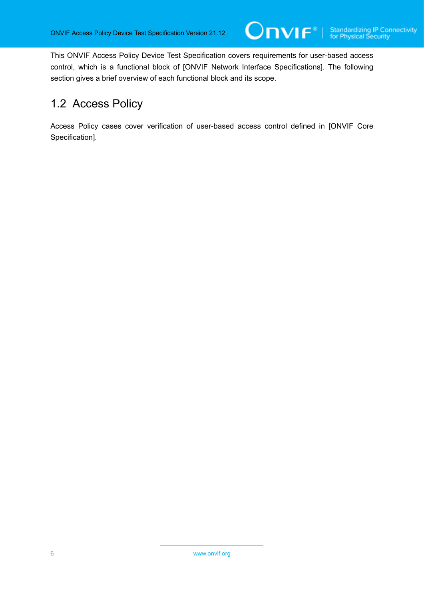This ONVIF Access Policy Device Test Specification covers requirements for user-based access control, which is a functional block of [ONVIF Network Interface Specifications]. The following section gives a brief overview of each functional block and its scope.

 $On$ vi $f^*$ l

# <span id="page-5-0"></span>1.2 Access Policy

Access Policy cases cover verification of user-based access control defined in [ONVIF Core Specification].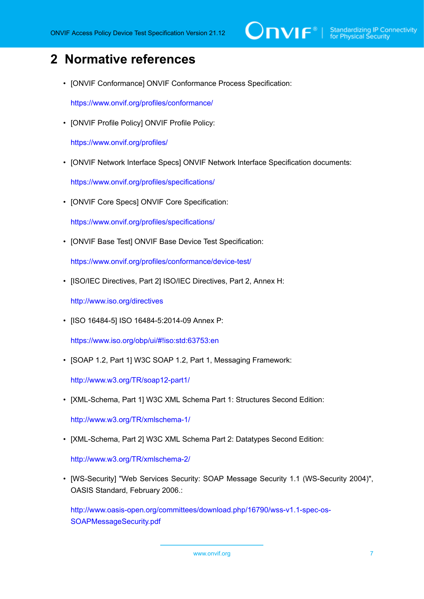# $\sum_{\text{ref}}$   $\sum_{\text{ref}}$   $\sum_{\text{ref}}$  Standardizing IP Connectivity

# <span id="page-6-0"></span>**2 Normative references**

• [ONVIF Conformance] ONVIF Conformance Process Specification:

<https://www.onvif.org/profiles/conformance/>

• [ONVIF Profile Policy] ONVIF Profile Policy:

<https://www.onvif.org/profiles/>

• [ONVIF Network Interface Specs] ONVIF Network Interface Specification documents:

<https://www.onvif.org/profiles/specifications/>

• [ONVIF Core Specs] ONVIF Core Specification:

<https://www.onvif.org/profiles/specifications/>

• [ONVIF Base Test] ONVIF Base Device Test Specification:

<https://www.onvif.org/profiles/conformance/device-test/>

• [ISO/IEC Directives, Part 2] ISO/IEC Directives, Part 2, Annex H:

<http://www.iso.org/directives>

• [ISO 16484-5] ISO 16484-5:2014-09 Annex P:

<https://www.iso.org/obp/ui/#!iso:std:63753:en>

• [SOAP 1.2, Part 1] W3C SOAP 1.2, Part 1, Messaging Framework:

<http://www.w3.org/TR/soap12-part1/>

• [XML-Schema, Part 1] W3C XML Schema Part 1: Structures Second Edition:

<http://www.w3.org/TR/xmlschema-1/>

• [XML-Schema, Part 2] W3C XML Schema Part 2: Datatypes Second Edition:

<http://www.w3.org/TR/xmlschema-2/>

• [WS-Security] "Web Services Security: SOAP Message Security 1.1 (WS-Security 2004)", OASIS Standard, February 2006.:

[http://www.oasis-open.org/committees/download.php/16790/wss-v1.1-spec-os-](http://www.oasis-open.org/committees/download.php/16790/wss-v1.1-spec-os-SOAPMessageSecurity.pdf)[SOAPMessageSecurity.pdf](http://www.oasis-open.org/committees/download.php/16790/wss-v1.1-spec-os-SOAPMessageSecurity.pdf)

www.onvif.org 7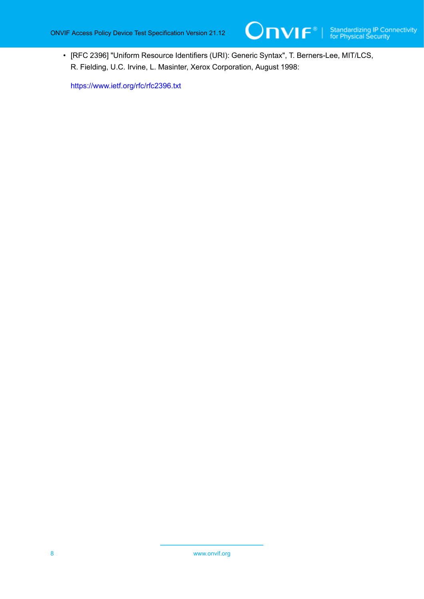

• [RFC 2396] "Uniform Resource Identifiers (URI): Generic Syntax", T. Berners-Lee, MIT/LCS, R. Fielding, U.C. Irvine, L. Masinter, Xerox Corporation, August 1998:

<https://www.ietf.org/rfc/rfc2396.txt>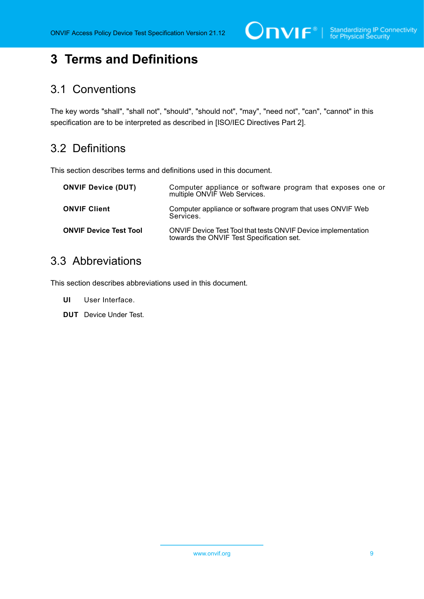$\bigcirc$   $\bigcap$   $\bigvee$   $\bigcap$   $\bigcirc$   $\bigcirc$   $\bigcirc$  Standardizing IP Connectivity

# <span id="page-8-0"></span>**3 Terms and Definitions**

# <span id="page-8-1"></span>3.1 Conventions

The key words "shall", "shall not", "should", "should not", "may", "need not", "can", "cannot" in this specification are to be interpreted as described in [ISO/IEC Directives Part 2].

# <span id="page-8-2"></span>3.2 Definitions

This section describes terms and definitions used in this document.

| <b>ONVIF Device (DUT)</b>     | Computer appliance or software program that exposes one or<br>multiple ONVIF Web Services.                        |
|-------------------------------|-------------------------------------------------------------------------------------------------------------------|
| <b>ONVIF Client</b>           | Computer appliance or software program that uses ONVIF Web<br>Services.                                           |
| <b>ONVIF Device Test Tool</b> | <b>ONVIF Device Test Tool that tests ONVIF Device implementation</b><br>towards the ONVIF Test Specification set. |

## <span id="page-8-3"></span>3.3 Abbreviations

This section describes abbreviations used in this document.

- **UI** User Interface.
- **DUT** Device Under Test.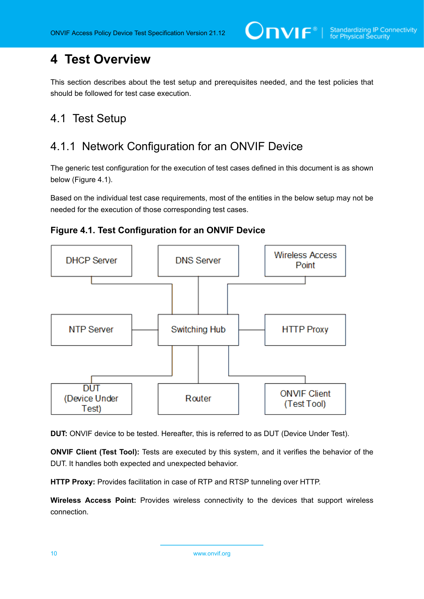# <span id="page-9-0"></span>**4 Test Overview**

This section describes about the test setup and prerequisites needed, and the test policies that should be followed for test case execution.

# <span id="page-9-1"></span>4.1 Test Setup

# <span id="page-9-2"></span>4.1.1 Network Configuration for an ONVIF Device

The generic test configuration for the execution of test cases defined in this document is as shown below (Figure 4.1).

Based on the individual test case requirements, most of the entities in the below setup may not be needed for the execution of those corresponding test cases.





**DUT:** ONVIF device to be tested. Hereafter, this is referred to as DUT (Device Under Test).

**ONVIF Client (Test Tool):** Tests are executed by this system, and it verifies the behavior of the DUT. It handles both expected and unexpected behavior.

**HTTP Proxy:** Provides facilitation in case of RTP and RTSP tunneling over HTTP.

**Wireless Access Point:** Provides wireless connectivity to the devices that support wireless connection.

10 www.onvif.org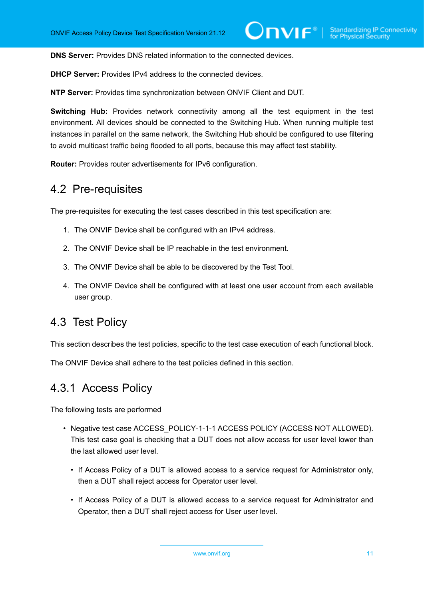**DNS Server:** Provides DNS related information to the connected devices.

**DHCP Server:** Provides IPv4 address to the connected devices.

**NTP Server:** Provides time synchronization between ONVIF Client and DUT.

**Switching Hub:** Provides network connectivity among all the test equipment in the test environment. All devices should be connected to the Switching Hub. When running multiple test instances in parallel on the same network, the Switching Hub should be configured to use filtering to avoid multicast traffic being flooded to all ports, because this may affect test stability.

<span id="page-10-0"></span>**Router:** Provides router advertisements for IPv6 configuration.

## 4.2 Pre-requisites

The pre-requisites for executing the test cases described in this test specification are:

- 1. The ONVIF Device shall be configured with an IPv4 address.
- 2. The ONVIF Device shall be IP reachable in the test environment.
- 3. The ONVIF Device shall be able to be discovered by the Test Tool.
- 4. The ONVIF Device shall be configured with at least one user account from each available user group.

## <span id="page-10-1"></span>4.3 Test Policy

This section describes the test policies, specific to the test case execution of each functional block.

<span id="page-10-2"></span>The ONVIF Device shall adhere to the test policies defined in this section.

## 4.3.1 Access Policy

The following tests are performed

- Negative test case ACCESS POLICY-1-1-1 ACCESS POLICY (ACCESS NOT ALLOWED). This test case goal is checking that a DUT does not allow access for user level lower than the last allowed user level.
	- If Access Policy of a DUT is allowed access to a service request for Administrator only, then a DUT shall reject access for Operator user level.
	- If Access Policy of a DUT is allowed access to a service request for Administrator and Operator, then a DUT shall reject access for User user level.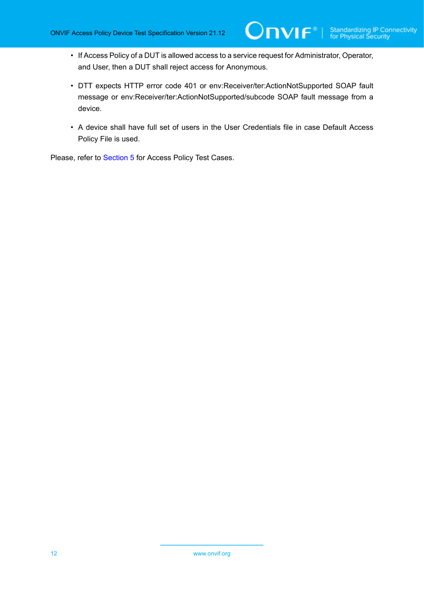• If Access Policy of a DUT is allowed access to a service request for Administrator, Operator, and User, then a DUT shall reject access for Anonymous.

 $\mathsf{Onv}$ ı $\mathsf{F}^\ast$ l

- DTT expects HTTP error code 401 or env:Receiver/ter:ActionNotSupported SOAP fault message or env:Receiver/ter:ActionNotSupported/subcode SOAP fault message from a device.
- A device shall have full set of users in the User Credentials file in case Default Access Policy File is used.

Please, refer to [Section 5](#page-12-0) for Access Policy Test Cases.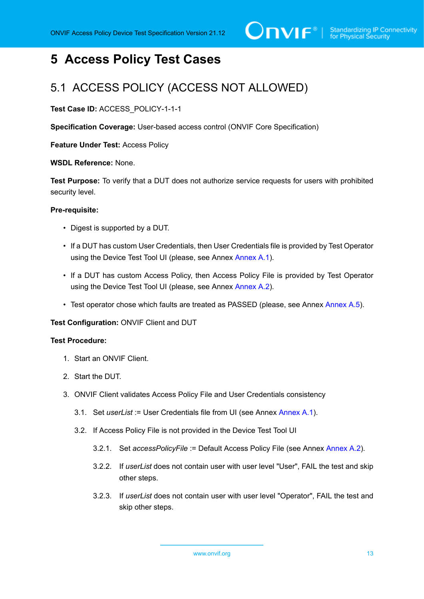# <span id="page-12-0"></span>**5 Access Policy Test Cases**

# <span id="page-12-1"></span>5.1 ACCESS POLICY (ACCESS NOT ALLOWED)

**Test Case ID:** ACCESS\_POLICY-1-1-1

**Specification Coverage:** User-based access control (ONVIF Core Specification)

**Feature Under Test:** Access Policy

**WSDL Reference:** None.

**Test Purpose:** To verify that a DUT does not authorize service requests for users with prohibited security level.

#### **Pre-requisite:**

- Digest is supported by a DUT.
- If a DUT has custom User Credentials, then User Credentials file is provided by Test Operator using the Device Test Tool UI (please, see Annex [Annex A.1\)](#page-26-1).
- If a DUT has custom Access Policy, then Access Policy File is provided by Test Operator using the Device Test Tool UI (please, see Annex [Annex A.2\)](#page-27-0).
- Test operator chose which faults are treated as PASSED (please, see Annex [Annex A.5](#page-53-0)).

#### **Test Configuration:** ONVIF Client and DUT

#### **Test Procedure:**

- 1. Start an ONVIF Client.
- 2. Start the DUT.
- 3. ONVIF Client validates Access Policy File and User Credentials consistency
	- 3.1. Set *userList* := User Credentials file from UI (see Annex [Annex A.1](#page-26-1)).
	- 3.2. If Access Policy File is not provided in the Device Test Tool UI
		- 3.2.1. Set *accessPolicyFile* := Default Access Policy File (see Annex [Annex A.2\)](#page-27-0).
		- 3.2.2. If *userList* does not contain user with user level "User", FAIL the test and skip other steps.
		- 3.2.3. If *userList* does not contain user with user level "Operator", FAIL the test and skip other steps.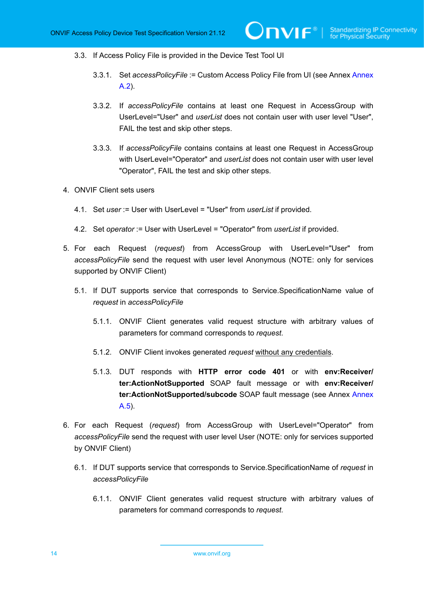- 3.3. If Access Policy File is provided in the Device Test Tool UI
	- 3.3.1. Set *accessPolicyFile* := Custom Access Policy File from UI (see Annex [Annex](#page-27-0) [A.2](#page-27-0)).
	- 3.3.2. If *accessPolicyFile* contains at least one Request in AccessGroup with UserLevel="User" and *userList* does not contain user with user level "User", FAIL the test and skip other steps.
	- 3.3.3. If *accessPolicyFile* contains contains at least one Request in AccessGroup with UserLevel="Operator" and *userList* does not contain user with user level "Operator", FAIL the test and skip other steps.
- 4. ONVIF Client sets users
	- 4.1. Set *user* := User with UserLevel = "User" from *userList* if provided.
	- 4.2. Set *operator* := User with UserLevel = "Operator" from *userList* if provided.
- 5. For each Request (*request*) from AccessGroup with UserLevel="User" from *accessPolicyFile* send the request with user level Anonymous (NOTE: only for services supported by ONVIF Client)
	- 5.1. If DUT supports service that corresponds to Service.SpecificationName value of *request* in *accessPolicyFile*
		- 5.1.1. ONVIF Client generates valid request structure with arbitrary values of parameters for command corresponds to *request*.
		- 5.1.2. ONVIF Client invokes generated *request* without any credentials.
		- 5.1.3. DUT responds with **HTTP error code 401** or with **env:Receiver/ ter:ActionNotSupported** SOAP fault message or with **env:Receiver/ ter:ActionNotSupported/subcode** SOAP fault message (see Annex [Annex](#page-53-0) [A.5](#page-53-0)).
- 6. For each Request (*request*) from AccessGroup with UserLevel="Operator" from *accessPolicyFile* send the request with user level User (NOTE: only for services supported by ONVIF Client)
	- 6.1. If DUT supports service that corresponds to Service.SpecificationName of *request* in *accessPolicyFile*
		- 6.1.1. ONVIF Client generates valid request structure with arbitrary values of parameters for command corresponds to *request*.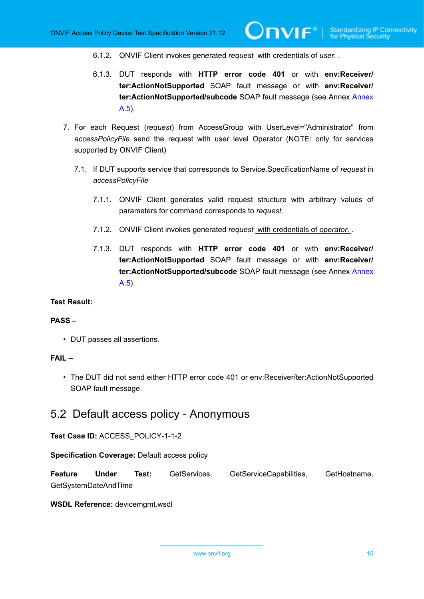- 6.1.2. ONVIF Client invokes generated *request* with credentials of *user*. .
- 6.1.3. DUT responds with **HTTP error code 401** or with **env:Receiver/ ter:ActionNotSupported** SOAP fault message or with **env:Receiver/ ter:ActionNotSupported/subcode** SOAP fault message (see Annex [Annex](#page-53-0) [A.5](#page-53-0)).
- 7. For each Request (*request*) from AccessGroup with UserLevel="Administrator" from *accessPolicyFile* send the request with user level Operator (NOTE: only for services supported by ONVIF Client)
	- 7.1. If DUT supports service that corresponds to Service.SpecificationName of *request* in *accessPolicyFile*
		- 7.1.1. ONVIF Client generates valid request structure with arbitrary values of parameters for command corresponds to *request*.
		- 7.1.2. ONVIF Client invokes generated *request* with credentials of *operator*. .
		- 7.1.3. DUT responds with **HTTP error code 401** or with **env:Receiver/ ter:ActionNotSupported** SOAP fault message or with **env:Receiver/ ter:ActionNotSupported/subcode** SOAP fault message (see Annex [Annex](#page-53-0) [A.5](#page-53-0)).

### **Test Result:**

#### **PASS –**

• DUT passes all assertions.

#### **FAIL –**

• The DUT did not send either HTTP error code 401 or env:Receiver/ter:ActionNotSupported SOAP fault message.

## <span id="page-14-0"></span>5.2 Default access policy - Anonymous

**Test Case ID:** ACCESS\_POLICY-1-1-2

**Specification Coverage:** Default access policy

**Feature Under Test:** GetServices, GetServiceCapabilities, GetHostname, GetSystemDateAndTime

**WSDL Reference:** devicemgmt.wsdl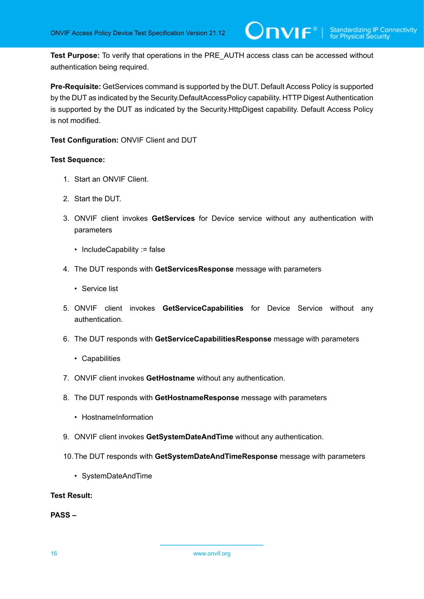**Test Purpose:** To verify that operations in the PRE\_AUTH access class can be accessed without authentication being required.

**Pre-Requisite:** GetServices command is supported by the DUT. Default Access Policy is supported by the DUT as indicated by the Security.DefaultAccessPolicy capability. HTTP Digest Authentication is supported by the DUT as indicated by the Security.HttpDigest capability. Default Access Policy is not modified.

**Test Configuration:** ONVIF Client and DUT

### **Test Sequence:**

- 1. Start an ONVIF Client.
- 2. Start the DUT.
- 3. ONVIF client invokes **GetServices** for Device service without any authentication with parameters
	- IncludeCapability := false
- 4. The DUT responds with **GetServicesResponse** message with parameters
	- Service list
- 5. ONVIF client invokes **GetServiceCapabilities** for Device Service without any authentication.
- 6. The DUT responds with **GetServiceCapabilitiesResponse** message with parameters
	- Capabilities
- 7. ONVIF client invokes **GetHostname** without any authentication.
- 8. The DUT responds with **GetHostnameResponse** message with parameters
	- HostnameInformation
- 9. ONVIF client invokes **GetSystemDateAndTime** without any authentication.
- 10.The DUT responds with **GetSystemDateAndTimeResponse** message with parameters
	- SystemDateAndTime

### **Test Result:**

**PASS –**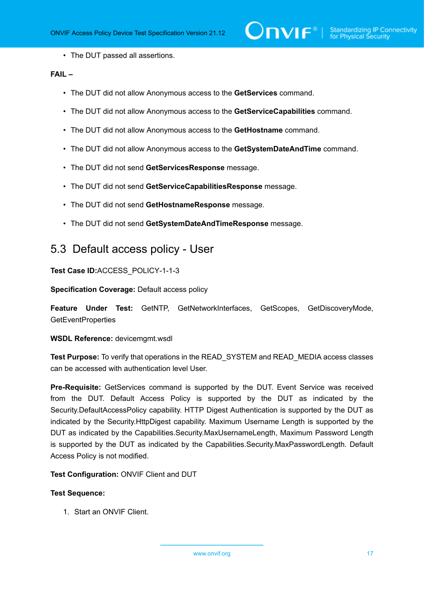• The DUT passed all assertions.

### **FAIL –**

- The DUT did not allow Anonymous access to the **GetServices** command.
- The DUT did not allow Anonymous access to the **GetServiceCapabilities** command.
- The DUT did not allow Anonymous access to the **GetHostname** command.
- The DUT did not allow Anonymous access to the **GetSystemDateAndTime** command.
- The DUT did not send **GetServicesResponse** message.
- The DUT did not send **GetServiceCapabilitiesResponse** message.
- The DUT did not send **GetHostnameResponse** message.
- The DUT did not send **GetSystemDateAndTimeResponse** message.

## <span id="page-16-0"></span>5.3 Default access policy - User

**Test Case ID:**ACCESS\_POLICY-1-1-3

**Specification Coverage:** Default access policy

**Feature Under Test:** GetNTP, GetNetworkInterfaces, GetScopes, GetDiscoveryMode, **GetEventProperties** 

### **WSDL Reference:** devicemgmt.wsdl

**Test Purpose:** To verify that operations in the READ\_SYSTEM and READ\_MEDIA access classes can be accessed with authentication level User.

**Pre-Requisite:** GetServices command is supported by the DUT. Event Service was received from the DUT. Default Access Policy is supported by the DUT as indicated by the Security.DefaultAccessPolicy capability. HTTP Digest Authentication is supported by the DUT as indicated by the Security.HttpDigest capability. Maximum Username Length is supported by the DUT as indicated by the Capabilities.Security.MaxUsernameLength, Maximum Password Length is supported by the DUT as indicated by the Capabilities.Security.MaxPasswordLength. Default Access Policy is not modified.

#### **Test Configuration:** ONVIF Client and DUT

#### **Test Sequence:**

1. Start an ONVIF Client.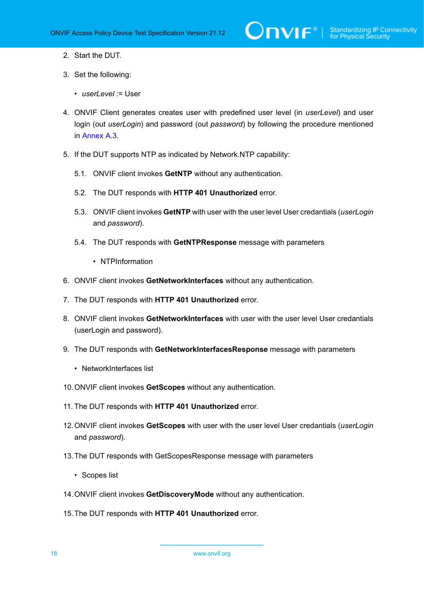- 2. Start the DUT.
- 3. Set the following:
	- *userLevel* := User
- 4. ONVIF Client generates creates user with predefined user level (in *userLevel*) and user login (out *userLogin*) and password (out *password*) by following the procedure mentioned in [Annex A.3.](#page-50-0)
- 5. If the DUT supports NTP as indicated by Network.NTP capability:
	- 5.1. ONVIF client invokes **GetNTP** without any authentication.
	- 5.2. The DUT responds with **HTTP 401 Unauthorized** error.
	- 5.3. ONVIF client invokes **GetNTP** with user with the user level User credantials (*userLogin* and *password*).
	- 5.4. The DUT responds with **GetNTPResponse** message with parameters
		- NTPInformation
- 6. ONVIF client invokes **GetNetworkInterfaces** without any authentication.
- 7. The DUT responds with **HTTP 401 Unauthorized** error.
- 8. ONVIF client invokes **GetNetworkInterfaces** with user with the user level User credantials (userLogin and password).
- 9. The DUT responds with **GetNetworkInterfacesResponse** message with parameters
	- NetworkInterfaces list
- 10.ONVIF client invokes **GetScopes** without any authentication.
- 11. The DUT responds with **HTTP 401 Unauthorized** error.
- 12.ONVIF client invokes **GetScopes** with user with the user level User credantials (*userLogin* and *password*).
- 13.The DUT responds with GetScopesResponse message with parameters
	- Scopes list
- 14.ONVIF client invokes **GetDiscoveryMode** without any authentication.
- 15.The DUT responds with **HTTP 401 Unauthorized** error.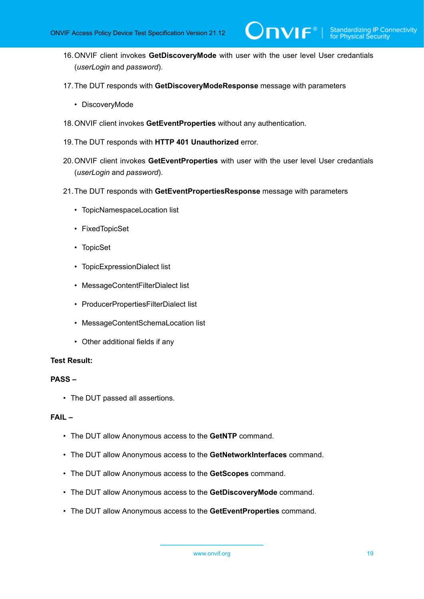16.ONVIF client invokes **GetDiscoveryMode** with user with the user level User credantials (*userLogin* and *password*).

 $\mathsf{D}\mathbf{N}\mathsf{I}\mathsf{F}^\ast$ l

- 17.The DUT responds with **GetDiscoveryModeResponse** message with parameters
	- DiscoveryMode
- 18.ONVIF client invokes **GetEventProperties** without any authentication.
- 19.The DUT responds with **HTTP 401 Unauthorized** error.
- 20.ONVIF client invokes **GetEventProperties** with user with the user level User credantials (*userLogin* and *password*).
- 21.The DUT responds with **GetEventPropertiesResponse** message with parameters
	- TopicNamespaceLocation list
	- FixedTopicSet
	- TopicSet
	- TopicExpressionDialect list
	- MessageContentFilterDialect list
	- ProducerPropertiesFilterDialect list
	- MessageContentSchemaLocation list
	- Other additional fields if any

### **Test Result:**

### **PASS –**

• The DUT passed all assertions.

### **FAIL –**

- The DUT allow Anonymous access to the **GetNTP** command.
- The DUT allow Anonymous access to the **GetNetworkInterfaces** command.
- The DUT allow Anonymous access to the **GetScopes** command.
- The DUT allow Anonymous access to the **GetDiscoveryMode** command.
- The DUT allow Anonymous access to the **GetEventProperties** command.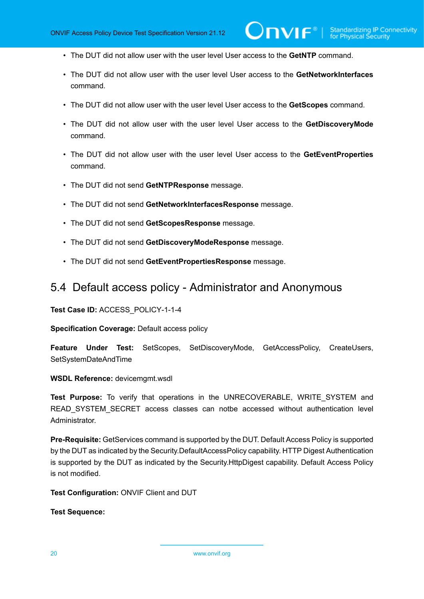- The DUT did not allow user with the user level User access to the **GetNTP** command.
- The DUT did not allow user with the user level User access to the **GetNetworkInterfaces** command.
- The DUT did not allow user with the user level User access to the **GetScopes** command.
- The DUT did not allow user with the user level User access to the **GetDiscoveryMode** command.
- The DUT did not allow user with the user level User access to the **GetEventProperties** command.
- The DUT did not send **GetNTPResponse** message.
- The DUT did not send **GetNetworkInterfacesResponse** message.
- The DUT did not send **GetScopesResponse** message.
- The DUT did not send **GetDiscoveryModeResponse** message.
- The DUT did not send **GetEventPropertiesResponse** message.

## <span id="page-19-0"></span>5.4 Default access policy - Administrator and Anonymous

**Test Case ID:** ACCESS\_POLICY-1-1-4

**Specification Coverage:** Default access policy

**Feature Under Test:** SetScopes, SetDiscoveryMode, GetAccessPolicy, CreateUsers, SetSystemDateAndTime

**WSDL Reference:** devicemgmt.wsdl

**Test Purpose:** To verify that operations in the UNRECOVERABLE, WRITE\_SYSTEM and READ SYSTEM SECRET access classes can notbe accessed without authentication level Administrator.

**Pre-Requisite:** GetServices command is supported by the DUT. Default Access Policy is supported by the DUT as indicated by the Security.DefaultAccessPolicy capability. HTTP Digest Authentication is supported by the DUT as indicated by the Security.HttpDigest capability. Default Access Policy is not modified.

**Test Configuration:** ONVIF Client and DUT

**Test Sequence:**

20 www.onvif.org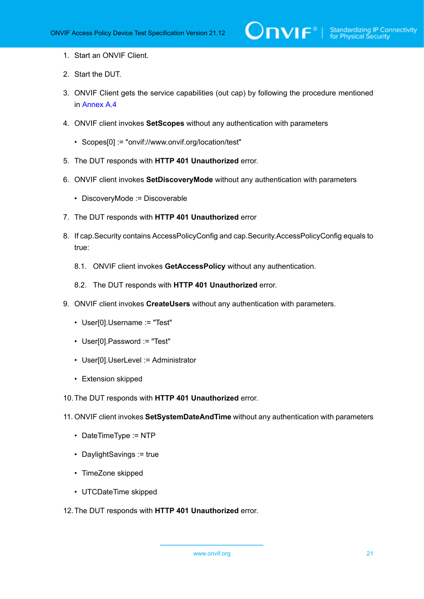- 1. Start an ONVIF Client.
- 2. Start the DUT.
- 3. ONVIF Client gets the service capabilities (out cap) by following the procedure mentioned in [Annex A.4](#page-52-0)
- 4. ONVIF client invokes **SetScopes** without any authentication with parameters
	- Scopes[0] := "onvif://www.onvif.org/location/test"
- 5. The DUT responds with **HTTP 401 Unauthorized** error.
- 6. ONVIF client invokes **SetDiscoveryMode** without any authentication with parameters
	- DiscoveryMode := Discoverable
- 7. The DUT responds with **HTTP 401 Unauthorized** error
- 8. If cap.Security contains AccessPolicyConfig and cap.Security.AccessPolicyConfig equals to true:
	- 8.1. ONVIF client invokes **GetAccessPolicy** without any authentication.
	- 8.2. The DUT responds with **HTTP 401 Unauthorized** error.
- 9. ONVIF client invokes **CreateUsers** without any authentication with parameters.
	- User[0].Username := "Test"
	- User[0].Password := "Test"
	- User[0].UserLevel := Administrator
	- Extension skipped
- 10.The DUT responds with **HTTP 401 Unauthorized** error.
- 11. ONVIF client invokes **SetSystemDateAndTime** without any authentication with parameters
	- DateTimeType := NTP
	- DaylightSavings := true
	- TimeZone skipped
	- UTCDateTime skipped
- 12.The DUT responds with **HTTP 401 Unauthorized** error.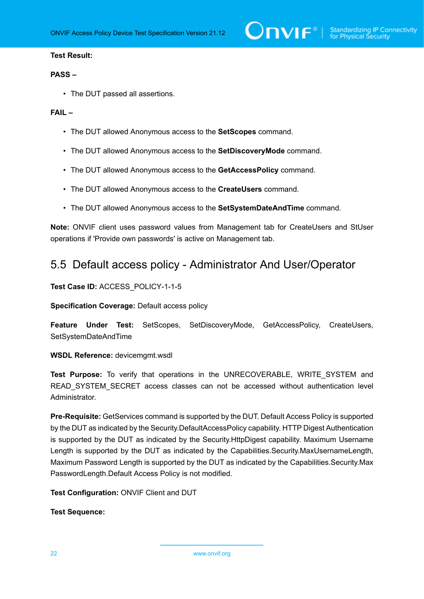#### **Test Result:**

#### **PASS –**

• The DUT passed all assertions.

#### **FAIL –**

- The DUT allowed Anonymous access to the **SetScopes** command.
- The DUT allowed Anonymous access to the **SetDiscoveryMode** command.
- The DUT allowed Anonymous access to the **GetAccessPolicy** command.
- The DUT allowed Anonymous access to the **CreateUsers** command.
- The DUT allowed Anonymous access to the **SetSystemDateAndTime** command.

**Note:** ONVIF client uses password values from Management tab for CreateUsers and StUser operations if 'Provide own passwords' is active on Management tab.

## <span id="page-21-0"></span>5.5 Default access policy - Administrator And User/Operator

**Test Case ID:** ACCESS\_POLICY-1-1-5

**Specification Coverage:** Default access policy

**Feature Under Test:** SetScopes, SetDiscoveryMode, GetAccessPolicy, CreateUsers, SetSystemDateAndTime

**WSDL Reference:** devicemgmt.wsdl

**Test Purpose:** To verify that operations in the UNRECOVERABLE, WRITE\_SYSTEM and READ SYSTEM SECRET access classes can not be accessed without authentication level **Administrator** 

**Pre-Requisite:** GetServices command is supported by the DUT. Default Access Policy is supported by the DUT as indicated by the Security.DefaultAccessPolicy capability. HTTP Digest Authentication is supported by the DUT as indicated by the Security.HttpDigest capability. Maximum Username Length is supported by the DUT as indicated by the Capabilities.Security.MaxUsernameLength, Maximum Password Length is supported by the DUT as indicated by the Capabilities.Security.Max PasswordLength.Default Access Policy is not modified.

**Test Configuration:** ONVIF Client and DUT

**Test Sequence:**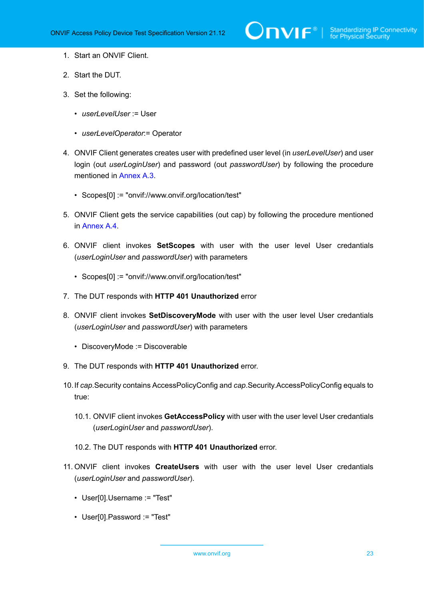- 1. Start an ONVIF Client.
- 2. Start the DUT.
- 3. Set the following:
	- *userLevelUser* := User
	- *userLevelOperator*:= Operator
- 4. ONVIF Client generates creates user with predefined user level (in *userLevelUser*) and user login (out *userLoginUser*) and password (out *passwordUser*) by following the procedure mentioned in [Annex A.3.](#page-50-0)
	- Scopes[0] := "onvif://www.onvif.org/location/test"
- 5. ONVIF Client gets the service capabilities (out cap) by following the procedure mentioned in [Annex A.4.](#page-52-0)
- 6. ONVIF client invokes **SetScopes** with user with the user level User credantials (*userLoginUser* and *passwordUser*) with parameters
	- Scopes[0] := "onvif://www.onvif.org/location/test"
- 7. The DUT responds with **HTTP 401 Unauthorized** error
- 8. ONVIF client invokes **SetDiscoveryMode** with user with the user level User credantials (*userLoginUser* and *passwordUser*) with parameters
	- DiscoveryMode := Discoverable
- 9. The DUT responds with **HTTP 401 Unauthorized** error.
- 10.If *cap*.Security contains AccessPolicyConfig and *cap*.Security.AccessPolicyConfig equals to true:
	- 10.1. ONVIF client invokes **GetAccessPolicy** with user with the user level User credantials (*userLoginUser* and *passwordUser*).
	- 10.2. The DUT responds with **HTTP 401 Unauthorized** error.
- 11. ONVIF client invokes **CreateUsers** with user with the user level User credantials (*userLoginUser* and *passwordUser*).
	- User[0].Username := "Test"
	- User[0].Password := "Test"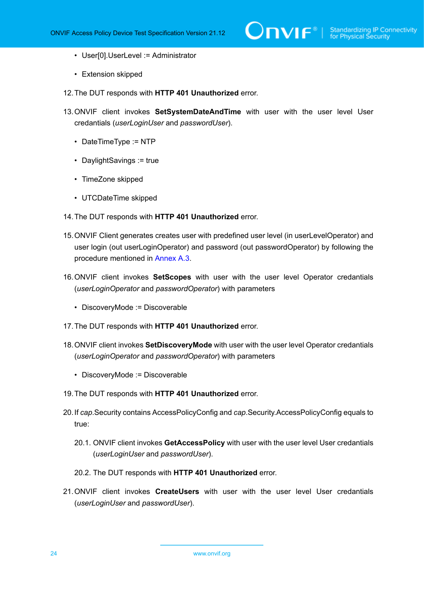- User[0].UserLevel := Administrator
- Extension skipped
- 12.The DUT responds with **HTTP 401 Unauthorized** error.
- 13.ONVIF client invokes **SetSystemDateAndTime** with user with the user level User credantials (*userLoginUser* and *passwordUser*).
	- DateTimeType := NTP
	- DaylightSavings := true
	- TimeZone skipped
	- UTCDateTime skipped
- 14.The DUT responds with **HTTP 401 Unauthorized** error.
- 15.ONVIF Client generates creates user with predefined user level (in userLevelOperator) and user login (out userLoginOperator) and password (out passwordOperator) by following the procedure mentioned in [Annex A.3](#page-50-0).
- 16.ONVIF client invokes **SetScopes** with user with the user level Operator credantials (*userLoginOperator* and *passwordOperator*) with parameters
	- DiscoveryMode := Discoverable
- 17.The DUT responds with **HTTP 401 Unauthorized** error.
- 18.ONVIF client invokes **SetDiscoveryMode** with user with the user level Operator credantials (*userLoginOperator* and *passwordOperator*) with parameters
	- DiscoveryMode := Discoverable
- 19.The DUT responds with **HTTP 401 Unauthorized** error.
- 20.If *cap*.Security contains AccessPolicyConfig and *cap*.Security.AccessPolicyConfig equals to true:
	- 20.1. ONVIF client invokes **GetAccessPolicy** with user with the user level User credantials (*userLoginUser* and *passwordUser*).
	- 20.2. The DUT responds with **HTTP 401 Unauthorized** error.
- 21.ONVIF client invokes **CreateUsers** with user with the user level User credantials (*userLoginUser* and *passwordUser*).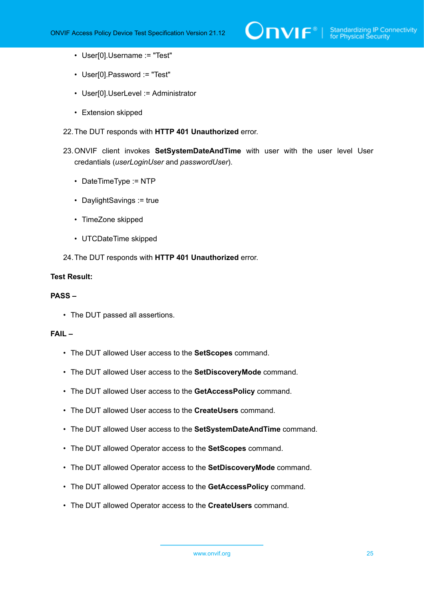- User[0].Username := "Test"
- User[0].Password := "Test"
- User[0].UserLevel := Administrator
- Extension skipped
- 22.The DUT responds with **HTTP 401 Unauthorized** error.
- 23.ONVIF client invokes **SetSystemDateAndTime** with user with the user level User credantials (*userLoginUser* and *passwordUser*).
	- DateTimeType := NTP
	- DaylightSavings := true
	- TimeZone skipped
	- UTCDateTime skipped
- 24.The DUT responds with **HTTP 401 Unauthorized** error.

### **Test Result:**

#### **PASS –**

• The DUT passed all assertions.

#### **FAIL –**

- The DUT allowed User access to the **SetScopes** command.
- The DUT allowed User access to the **SetDiscoveryMode** command.
- The DUT allowed User access to the **GetAccessPolicy** command.
- The DUT allowed User access to the **CreateUsers** command.
- The DUT allowed User access to the **SetSystemDateAndTime** command.
- The DUT allowed Operator access to the **SetScopes** command.
- The DUT allowed Operator access to the **SetDiscoveryMode** command.
- The DUT allowed Operator access to the **GetAccessPolicy** command.
- The DUT allowed Operator access to the **CreateUsers** command.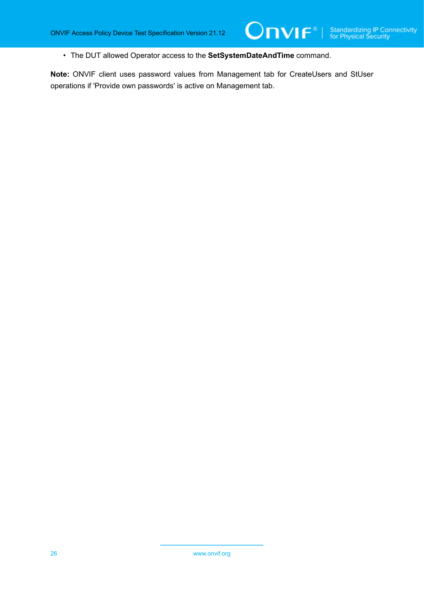• The DUT allowed Operator access to the **SetSystemDateAndTime** command.

**Note:** ONVIF client uses password values from Management tab for CreateUsers and StUser operations if 'Provide own passwords' is active on Management tab.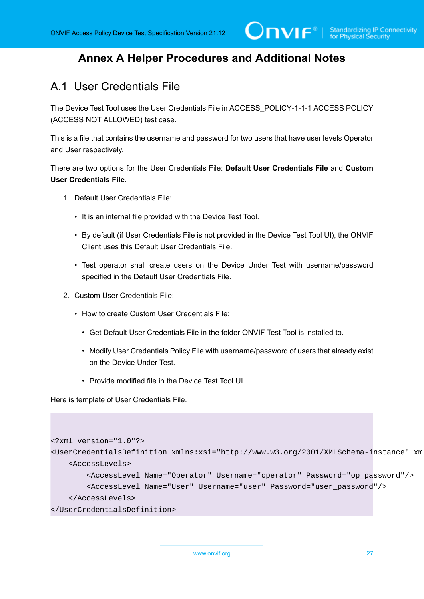# <span id="page-26-0"></span>**Annex A Helper Procedures and Additional Notes**

# <span id="page-26-1"></span>A.1 User Credentials File

The Device Test Tool uses the User Credentials File in ACCESS\_POLICY-1-1-1 ACCESS POLICY (ACCESS NOT ALLOWED) test case.

This is a file that contains the username and password for two users that have user levels Operator and User respectively.

There are two options for the User Credentials File: **Default User Credentials File** and **Custom User Credentials File**.

- 1. Default User Credentials File:
	- It is an internal file provided with the Device Test Tool.
	- By default (if User Credentials File is not provided in the Device Test Tool UI), the ONVIF Client uses this Default User Credentials File.
	- Test operator shall create users on the Device Under Test with username/password specified in the Default User Credentials File.
- 2. Custom User Credentials File:
	- How to create Custom User Credentials File:
		- Get Default User Credentials File in the folder ONVIF Test Tool is installed to.
		- Modify User Credentials Policy File with username/password of users that already exist on the Device Under Test.
		- Provide modified file in the Device Test Tool UI.

Here is template of User Credentials File.

```
<?xml version="1.0"?>
<UserCredentialsDefinition xmlns:xsi="http://www.w3.org/2001/XMLSchema-instance" xm
     <AccessLevels>
         <AccessLevel Name="Operator" Username="operator" Password="op_password"/>
         <AccessLevel Name="User" Username="user" Password="user_password"/>
     </AccessLevels>
</UserCredentialsDefinition>
```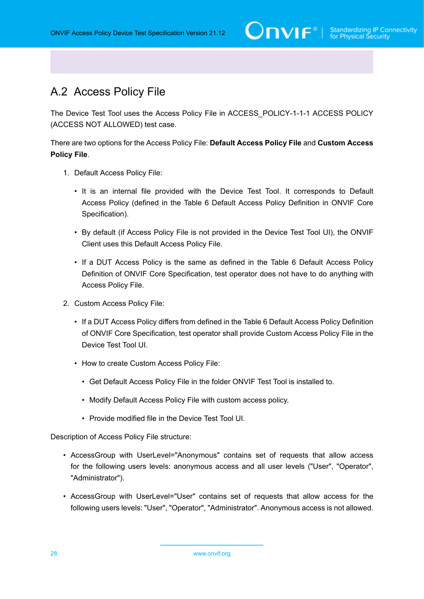# <span id="page-27-0"></span>A.2 Access Policy File

The Device Test Tool uses the Access Policy File in ACCESS\_POLICY-1-1-1 ACCESS POLICY (ACCESS NOT ALLOWED) test case.

There are two options for the Access Policy File: **Default Access Policy File** and **Custom Access Policy File**.

- 1. Default Access Policy File:
	- It is an internal file provided with the Device Test Tool. It corresponds to Default Access Policy (defined in the Table 6 Default Access Policy Definition in ONVIF Core Specification).
	- By default (if Access Policy File is not provided in the Device Test Tool UI), the ONVIF Client uses this Default Access Policy File.
	- If a DUT Access Policy is the same as defined in the Table 6 Default Access Policy Definition of ONVIF Core Specification, test operator does not have to do anything with Access Policy File.
- 2. Custom Access Policy File:
	- If a DUT Access Policy differs from defined in the Table 6 Default Access Policy Definition of ONVIF Core Specification, test operator shall provide Custom Access Policy File in the Device Test Tool UI.
	- How to create Custom Access Policy File:
		- Get Default Access Policy File in the folder ONVIF Test Tool is installed to.
		- Modify Default Access Policy File with custom access policy.
		- Provide modified file in the Device Test Tool UI.

Description of Access Policy File structure:

- AccessGroup with UserLevel="Anonymous" contains set of requests that allow access for the following users levels: anonymous access and all user levels ("User", "Operator", "Administrator").
- AccessGroup with UserLevel="User" contains set of requests that allow access for the following users levels: "User", "Operator", "Administrator". Anonymous access is not allowed.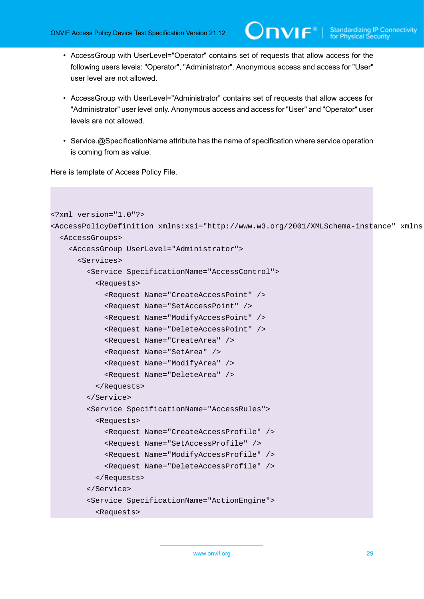- AccessGroup with UserLevel="Operator" contains set of requests that allow access for the following users levels: "Operator", "Administrator". Anonymous access and access for "User" user level are not allowed.
- AccessGroup with UserLevel="Administrator" contains set of requests that allow access for "Administrator" user level only. Anonymous access and access for "User" and "Operator" user levels are not allowed.
- Service.@SpecificationName attribute has the name of specification where service operation is coming from as value.

Here is template of Access Policy File.

```
<?xml version="1.0"?>
<AccessPolicyDefinition xmlns:xsi="http://www.w3.org/2001/XMLSchema-instance" xmlns
   <AccessGroups>
     <AccessGroup UserLevel="Administrator">
       <Services>
         <Service SpecificationName="AccessControl">
           <Requests>
             <Request Name="CreateAccessPoint" />
             <Request Name="SetAccessPoint" />
             <Request Name="ModifyAccessPoint" />
             <Request Name="DeleteAccessPoint" />
             <Request Name="CreateArea" />
             <Request Name="SetArea" />
             <Request Name="ModifyArea" />
             <Request Name="DeleteArea" />
           </Requests>
         </Service>
         <Service SpecificationName="AccessRules">
           <Requests>
             <Request Name="CreateAccessProfile" />
             <Request Name="SetAccessProfile" />
             <Request Name="ModifyAccessProfile" />
             <Request Name="DeleteAccessProfile" />
           </Requests>
         </Service>
         <Service SpecificationName="ActionEngine">
           <Requests>
```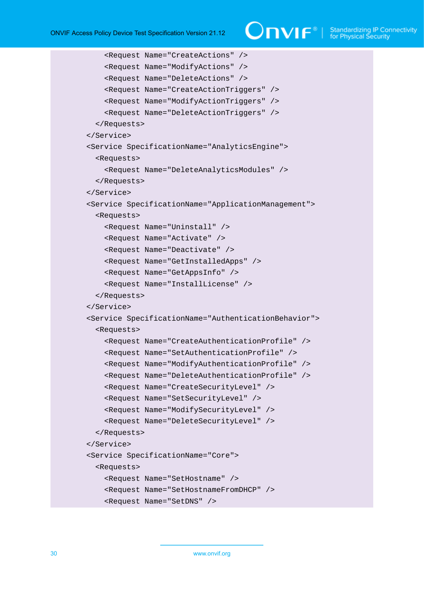```
 <Request Name="CreateActions" />
     <Request Name="ModifyActions" />
     <Request Name="DeleteActions" />
     <Request Name="CreateActionTriggers" />
     <Request Name="ModifyActionTriggers" />
     <Request Name="DeleteActionTriggers" />
   </Requests>
 </Service>
 <Service SpecificationName="AnalyticsEngine">
   <Requests>
     <Request Name="DeleteAnalyticsModules" />
   </Requests>
 </Service>
 <Service SpecificationName="ApplicationManagement">
   <Requests>
     <Request Name="Uninstall" />
     <Request Name="Activate" />
     <Request Name="Deactivate" />
     <Request Name="GetInstalledApps" />
     <Request Name="GetAppsInfo" />
     <Request Name="InstallLicense" />
   </Requests>
 </Service>
 <Service SpecificationName="AuthenticationBehavior">
   <Requests>
     <Request Name="CreateAuthenticationProfile" />
     <Request Name="SetAuthenticationProfile" />
     <Request Name="ModifyAuthenticationProfile" />
     <Request Name="DeleteAuthenticationProfile" />
     <Request Name="CreateSecurityLevel" />
     <Request Name="SetSecurityLevel" />
     <Request Name="ModifySecurityLevel" />
     <Request Name="DeleteSecurityLevel" />
   </Requests>
 </Service>
 <Service SpecificationName="Core">
   <Requests>
     <Request Name="SetHostname" />
     <Request Name="SetHostnameFromDHCP" />
     <Request Name="SetDNS" />
```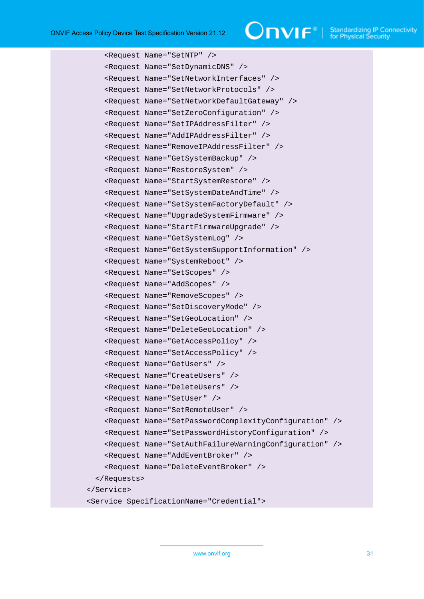```
 <Request Name="SetNTP" />
     <Request Name="SetDynamicDNS" />
     <Request Name="SetNetworkInterfaces" />
     <Request Name="SetNetworkProtocols" />
     <Request Name="SetNetworkDefaultGateway" />
     <Request Name="SetZeroConfiguration" />
     <Request Name="SetIPAddressFilter" />
     <Request Name="AddIPAddressFilter" />
     <Request Name="RemoveIPAddressFilter" />
     <Request Name="GetSystemBackup" />
     <Request Name="RestoreSystem" />
     <Request Name="StartSystemRestore" />
     <Request Name="SetSystemDateAndTime" />
     <Request Name="SetSystemFactoryDefault" />
     <Request Name="UpgradeSystemFirmware" />
     <Request Name="StartFirmwareUpgrade" />
     <Request Name="GetSystemLog" />
     <Request Name="GetSystemSupportInformation" />
     <Request Name="SystemReboot" />
     <Request Name="SetScopes" />
     <Request Name="AddScopes" />
     <Request Name="RemoveScopes" />
     <Request Name="SetDiscoveryMode" />
     <Request Name="SetGeoLocation" />
     <Request Name="DeleteGeoLocation" />
     <Request Name="GetAccessPolicy" />
     <Request Name="SetAccessPolicy" />
     <Request Name="GetUsers" />
     <Request Name="CreateUsers" />
     <Request Name="DeleteUsers" />
     <Request Name="SetUser" />
     <Request Name="SetRemoteUser" />
     <Request Name="SetPasswordComplexityConfiguration" />
     <Request Name="SetPasswordHistoryConfiguration" />
     <Request Name="SetAuthFailureWarningConfiguration" />
     <Request Name="AddEventBroker" />
     <Request Name="DeleteEventBroker" />
   </Requests>
 </Service>
 <Service SpecificationName="Credential">
```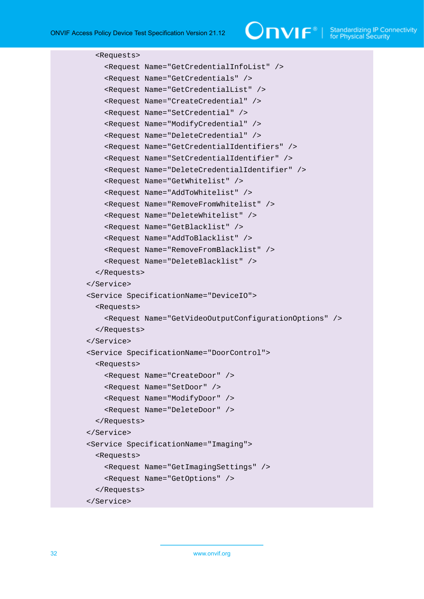$\bigcirc$   $\blacksquare$   $\blacksquare$   $\blacksquare$   $\blacksquare$  Standardizing IP Connectivity

```
 <Requests>
     <Request Name="GetCredentialInfoList" />
     <Request Name="GetCredentials" />
     <Request Name="GetCredentialList" />
     <Request Name="CreateCredential" />
     <Request Name="SetCredential" />
     <Request Name="ModifyCredential" />
     <Request Name="DeleteCredential" />
     <Request Name="GetCredentialIdentifiers" />
     <Request Name="SetCredentialIdentifier" />
     <Request Name="DeleteCredentialIdentifier" />
     <Request Name="GetWhitelist" />
     <Request Name="AddToWhitelist" />
     <Request Name="RemoveFromWhitelist" />
     <Request Name="DeleteWhitelist" />
     <Request Name="GetBlacklist" />
     <Request Name="AddToBlacklist" />
     <Request Name="RemoveFromBlacklist" />
     <Request Name="DeleteBlacklist" />
   </Requests>
 </Service>
 <Service SpecificationName="DeviceIO">
   <Requests>
     <Request Name="GetVideoOutputConfigurationOptions" />
   </Requests>
 </Service>
 <Service SpecificationName="DoorControl">
   <Requests>
     <Request Name="CreateDoor" />
     <Request Name="SetDoor" />
     <Request Name="ModifyDoor" />
     <Request Name="DeleteDoor" />
   </Requests>
 </Service>
 <Service SpecificationName="Imaging">
   <Requests>
     <Request Name="GetImagingSettings" />
     <Request Name="GetOptions" />
   </Requests>
 </Service>
```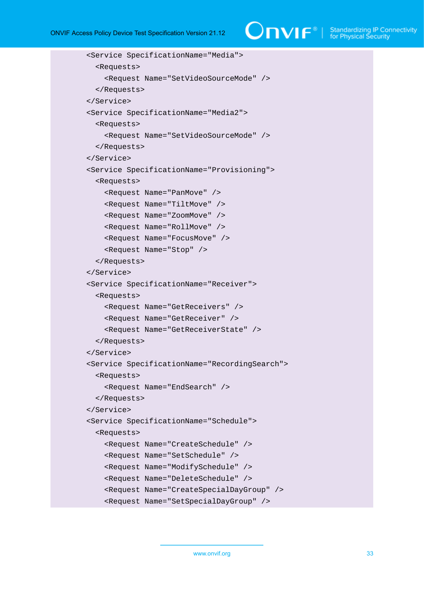$\bigcirc$   $\blacksquare$   $\blacksquare$   $\blacksquare$   $\blacksquare$  Standardizing IP Connectivity

```
 <Service SpecificationName="Media">
   <Requests>
     <Request Name="SetVideoSourceMode" />
   </Requests>
 </Service>
 <Service SpecificationName="Media2">
   <Requests>
     <Request Name="SetVideoSourceMode" />
   </Requests>
 </Service>
 <Service SpecificationName="Provisioning">
   <Requests>
     <Request Name="PanMove" />
     <Request Name="TiltMove" />
     <Request Name="ZoomMove" />
     <Request Name="RollMove" />
     <Request Name="FocusMove" />
     <Request Name="Stop" />
   </Requests>
 </Service>
 <Service SpecificationName="Receiver">
   <Requests>
     <Request Name="GetReceivers" />
     <Request Name="GetReceiver" />
     <Request Name="GetReceiverState" />
   </Requests>
 </Service>
 <Service SpecificationName="RecordingSearch">
   <Requests>
     <Request Name="EndSearch" />
   </Requests>
 </Service>
 <Service SpecificationName="Schedule">
   <Requests>
     <Request Name="CreateSchedule" />
     <Request Name="SetSchedule" />
     <Request Name="ModifySchedule" />
     <Request Name="DeleteSchedule" />
     <Request Name="CreateSpecialDayGroup" />
     <Request Name="SetSpecialDayGroup" />
```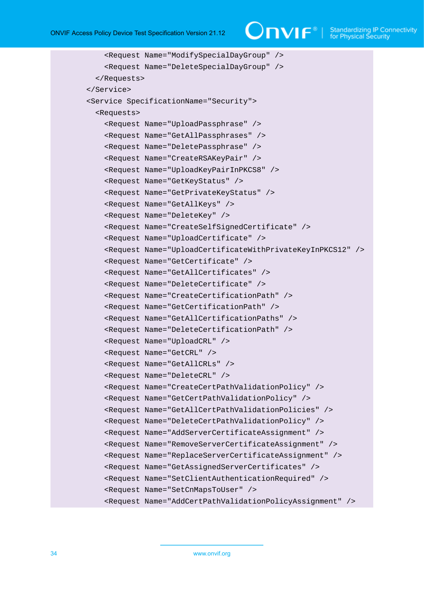$\bigcirc$   $\bigcap$   $\bigvee$   $\bigcirc$   $\bigcirc$   $\bigcirc$   $\bigcirc$   $\bigcirc$   $\bigcirc$   $\bigcirc$   $\bigcirc$   $\bigcirc$   $\bigcirc$   $\bigcirc$   $\bigcirc$   $\bigcirc$   $\bigcirc$   $\bigcirc$   $\bigcirc$   $\bigcirc$   $\bigcirc$   $\bigcirc$   $\bigcirc$   $\bigcirc$   $\bigcirc$   $\bigcirc$   $\bigcirc$   $\bigcirc$   $\bigcirc$   $\bigcirc$   $\bigcirc$   $\bigcirc$   $\bigcirc$   $\bigcirc$   $\bigcirc$   $\bigcirc$   $\bigcirc$ 

```
 <Request Name="ModifySpecialDayGroup" />
     <Request Name="DeleteSpecialDayGroup" />
   </Requests>
 </Service>
 <Service SpecificationName="Security">
   <Requests>
     <Request Name="UploadPassphrase" />
     <Request Name="GetAllPassphrases" />
     <Request Name="DeletePassphrase" />
     <Request Name="CreateRSAKeyPair" />
     <Request Name="UploadKeyPairInPKCS8" />
     <Request Name="GetKeyStatus" />
     <Request Name="GetPrivateKeyStatus" />
     <Request Name="GetAllKeys" />
     <Request Name="DeleteKey" />
     <Request Name="CreateSelfSignedCertificate" />
     <Request Name="UploadCertificate" />
     <Request Name="UploadCertificateWithPrivateKeyInPKCS12" />
     <Request Name="GetCertificate" />
     <Request Name="GetAllCertificates" />
     <Request Name="DeleteCertificate" />
     <Request Name="CreateCertificationPath" />
     <Request Name="GetCertificationPath" />
     <Request Name="GetAllCertificationPaths" />
     <Request Name="DeleteCertificationPath" />
     <Request Name="UploadCRL" />
     <Request Name="GetCRL" />
     <Request Name="GetAllCRLs" />
     <Request Name="DeleteCRL" />
     <Request Name="CreateCertPathValidationPolicy" />
     <Request Name="GetCertPathValidationPolicy" />
     <Request Name="GetAllCertPathValidationPolicies" />
     <Request Name="DeleteCertPathValidationPolicy" />
     <Request Name="AddServerCertificateAssignment" />
     <Request Name="RemoveServerCertificateAssignment" />
     <Request Name="ReplaceServerCertificateAssignment" />
     <Request Name="GetAssignedServerCertificates" />
     <Request Name="SetClientAuthenticationRequired" />
     <Request Name="SetCnMapsToUser" />
     <Request Name="AddCertPathValidationPolicyAssignment" />
```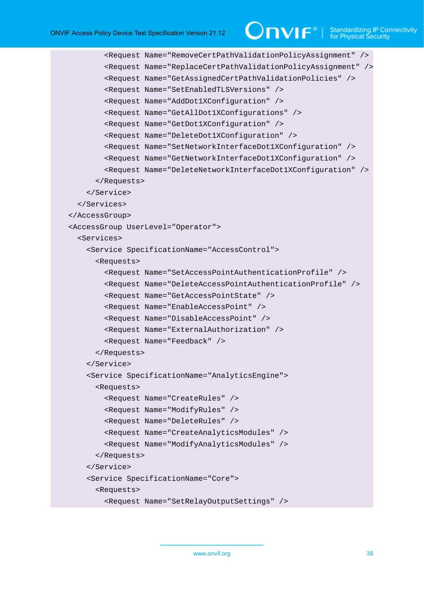# $\bigcirc$  MIF<sup>®</sup> | Standardizing IP Connectivity

```
 <Request Name="RemoveCertPathValidationPolicyAssignment" />
         <Request Name="ReplaceCertPathValidationPolicyAssignment" />
         <Request Name="GetAssignedCertPathValidationPolicies" />
         <Request Name="SetEnabledTLSVersions" />
         <Request Name="AddDot1XConfiguration" />
         <Request Name="GetAllDot1XConfigurations" />
         <Request Name="GetDot1XConfiguration" />
         <Request Name="DeleteDot1XConfiguration" />
         <Request Name="SetNetworkInterfaceDot1XConfiguration" />
         <Request Name="GetNetworkInterfaceDot1XConfiguration" />
         <Request Name="DeleteNetworkInterfaceDot1XConfiguration" />
       </Requests>
     </Service>
   </Services>
 </AccessGroup>
 <AccessGroup UserLevel="Operator">
   <Services>
     <Service SpecificationName="AccessControl">
       <Requests>
         <Request Name="SetAccessPointAuthenticationProfile" />
         <Request Name="DeleteAccessPointAuthenticationProfile" />
         <Request Name="GetAccessPointState" />
         <Request Name="EnableAccessPoint" />
         <Request Name="DisableAccessPoint" />
         <Request Name="ExternalAuthorization" />
         <Request Name="Feedback" />
       </Requests>
     </Service>
     <Service SpecificationName="AnalyticsEngine">
       <Requests>
         <Request Name="CreateRules" />
         <Request Name="ModifyRules" />
         <Request Name="DeleteRules" />
         <Request Name="CreateAnalyticsModules" />
         <Request Name="ModifyAnalyticsModules" />
       </Requests>
     </Service>
     <Service SpecificationName="Core">
       <Requests>
         <Request Name="SetRelayOutputSettings" />
```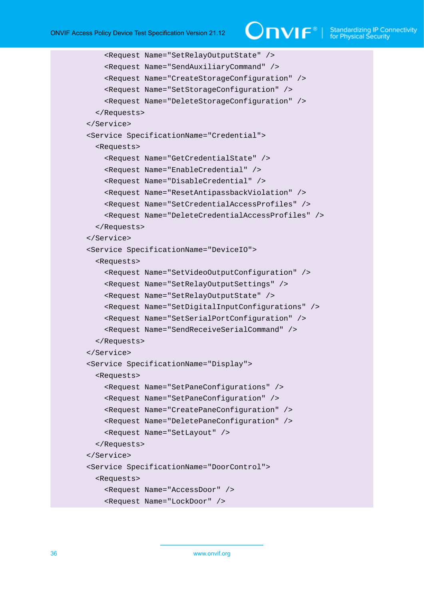# $\bigcirc$   $\mathbf{N}$   $\mathbf{F}^{\text{d}}$   $\mid$  Standardizing IP Connectivity

```
 <Request Name="SetRelayOutputState" />
     <Request Name="SendAuxiliaryCommand" />
     <Request Name="CreateStorageConfiguration" />
     <Request Name="SetStorageConfiguration" />
     <Request Name="DeleteStorageConfiguration" />
   </Requests>
 </Service>
 <Service SpecificationName="Credential">
   <Requests>
     <Request Name="GetCredentialState" />
     <Request Name="EnableCredential" />
     <Request Name="DisableCredential" />
     <Request Name="ResetAntipassbackViolation" />
     <Request Name="SetCredentialAccessProfiles" />
     <Request Name="DeleteCredentialAccessProfiles" />
   </Requests>
 </Service>
 <Service SpecificationName="DeviceIO">
   <Requests>
     <Request Name="SetVideoOutputConfiguration" />
     <Request Name="SetRelayOutputSettings" />
     <Request Name="SetRelayOutputState" />
     <Request Name="SetDigitalInputConfigurations" />
     <Request Name="SetSerialPortConfiguration" />
     <Request Name="SendReceiveSerialCommand" />
   </Requests>
 </Service>
 <Service SpecificationName="Display">
   <Requests>
     <Request Name="SetPaneConfigurations" />
     <Request Name="SetPaneConfiguration" />
     <Request Name="CreatePaneConfiguration" />
     <Request Name="DeletePaneConfiguration" />
     <Request Name="SetLayout" />
   </Requests>
 </Service>
 <Service SpecificationName="DoorControl">
   <Requests>
     <Request Name="AccessDoor" />
     <Request Name="LockDoor" />
```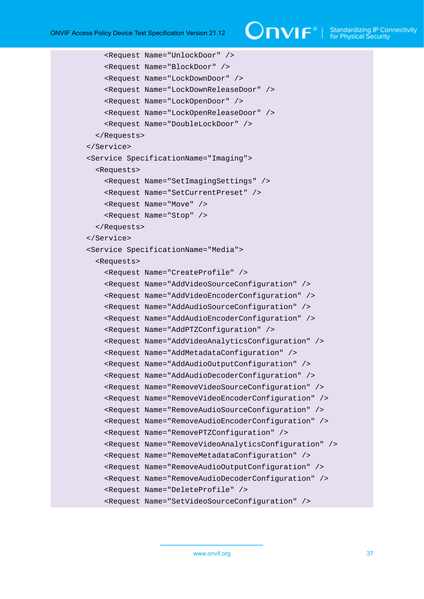```
 <Request Name="UnlockDoor" />
     <Request Name="BlockDoor" />
     <Request Name="LockDownDoor" />
     <Request Name="LockDownReleaseDoor" />
     <Request Name="LockOpenDoor" />
     <Request Name="LockOpenReleaseDoor" />
     <Request Name="DoubleLockDoor" />
   </Requests>
 </Service>
 <Service SpecificationName="Imaging">
   <Requests>
     <Request Name="SetImagingSettings" />
     <Request Name="SetCurrentPreset" />
     <Request Name="Move" />
     <Request Name="Stop" />
   </Requests>
 </Service>
 <Service SpecificationName="Media">
   <Requests>
     <Request Name="CreateProfile" />
     <Request Name="AddVideoSourceConfiguration" />
     <Request Name="AddVideoEncoderConfiguration" />
     <Request Name="AddAudioSourceConfiguration" />
     <Request Name="AddAudioEncoderConfiguration" />
     <Request Name="AddPTZConfiguration" />
     <Request Name="AddVideoAnalyticsConfiguration" />
     <Request Name="AddMetadataConfiguration" />
     <Request Name="AddAudioOutputConfiguration" />
     <Request Name="AddAudioDecoderConfiguration" />
     <Request Name="RemoveVideoSourceConfiguration" />
     <Request Name="RemoveVideoEncoderConfiguration" />
     <Request Name="RemoveAudioSourceConfiguration" />
     <Request Name="RemoveAudioEncoderConfiguration" />
     <Request Name="RemovePTZConfiguration" />
     <Request Name="RemoveVideoAnalyticsConfiguration" />
     <Request Name="RemoveMetadataConfiguration" />
     <Request Name="RemoveAudioOutputConfiguration" />
     <Request Name="RemoveAudioDecoderConfiguration" />
     <Request Name="DeleteProfile" />
     <Request Name="SetVideoSourceConfiguration" />
```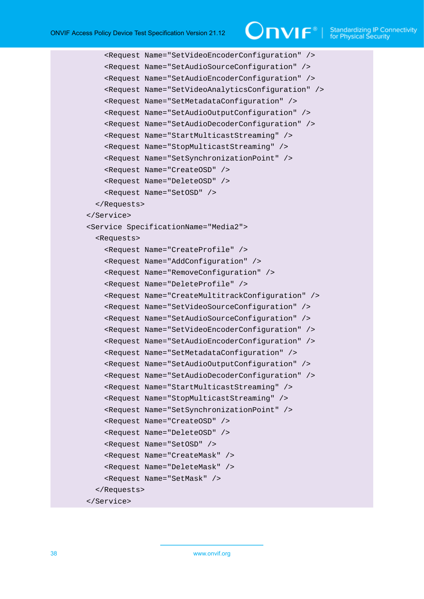```
 <Request Name="SetVideoEncoderConfiguration" />
     <Request Name="SetAudioSourceConfiguration" />
     <Request Name="SetAudioEncoderConfiguration" />
     <Request Name="SetVideoAnalyticsConfiguration" />
     <Request Name="SetMetadataConfiguration" />
     <Request Name="SetAudioOutputConfiguration" />
     <Request Name="SetAudioDecoderConfiguration" />
     <Request Name="StartMulticastStreaming" />
     <Request Name="StopMulticastStreaming" />
     <Request Name="SetSynchronizationPoint" />
     <Request Name="CreateOSD" />
     <Request Name="DeleteOSD" />
     <Request Name="SetOSD" />
   </Requests>
 </Service>
 <Service SpecificationName="Media2">
   <Requests>
     <Request Name="CreateProfile" />
     <Request Name="AddConfiguration" />
     <Request Name="RemoveConfiguration" />
     <Request Name="DeleteProfile" />
     <Request Name="CreateMultitrackConfiguration" />
     <Request Name="SetVideoSourceConfiguration" />
     <Request Name="SetAudioSourceConfiguration" />
     <Request Name="SetVideoEncoderConfiguration" />
     <Request Name="SetAudioEncoderConfiguration" />
     <Request Name="SetMetadataConfiguration" />
     <Request Name="SetAudioOutputConfiguration" />
     <Request Name="SetAudioDecoderConfiguration" />
     <Request Name="StartMulticastStreaming" />
     <Request Name="StopMulticastStreaming" />
     <Request Name="SetSynchronizationPoint" />
     <Request Name="CreateOSD" />
     <Request Name="DeleteOSD" />
     <Request Name="SetOSD" />
     <Request Name="CreateMask" />
     <Request Name="DeleteMask" />
     <Request Name="SetMask" />
   </Requests>
 </Service>
```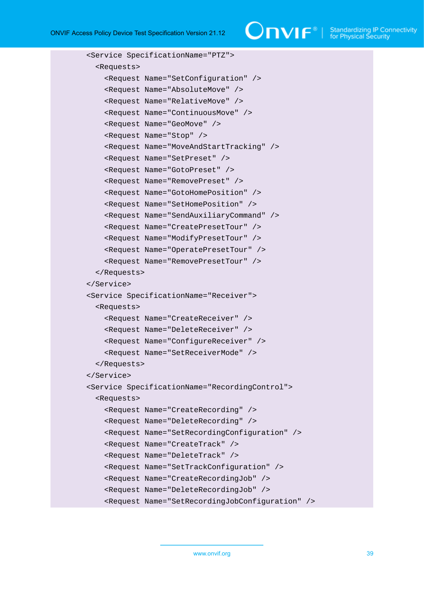```
 <Service SpecificationName="PTZ">
   <Requests>
     <Request Name="SetConfiguration" />
     <Request Name="AbsoluteMove" />
     <Request Name="RelativeMove" />
     <Request Name="ContinuousMove" />
     <Request Name="GeoMove" />
     <Request Name="Stop" />
     <Request Name="MoveAndStartTracking" />
     <Request Name="SetPreset" />
     <Request Name="GotoPreset" />
     <Request Name="RemovePreset" />
     <Request Name="GotoHomePosition" />
     <Request Name="SetHomePosition" />
     <Request Name="SendAuxiliaryCommand" />
     <Request Name="CreatePresetTour" />
     <Request Name="ModifyPresetTour" />
     <Request Name="OperatePresetTour" />
     <Request Name="RemovePresetTour" />
   </Requests>
 </Service>
 <Service SpecificationName="Receiver">
   <Requests>
     <Request Name="CreateReceiver" />
     <Request Name="DeleteReceiver" />
     <Request Name="ConfigureReceiver" />
     <Request Name="SetReceiverMode" />
   </Requests>
 </Service>
 <Service SpecificationName="RecordingControl">
   <Requests>
     <Request Name="CreateRecording" />
     <Request Name="DeleteRecording" />
     <Request Name="SetRecordingConfiguration" />
     <Request Name="CreateTrack" />
     <Request Name="DeleteTrack" />
     <Request Name="SetTrackConfiguration" />
     <Request Name="CreateRecordingJob" />
     <Request Name="DeleteRecordingJob" />
     <Request Name="SetRecordingJobConfiguration" />
```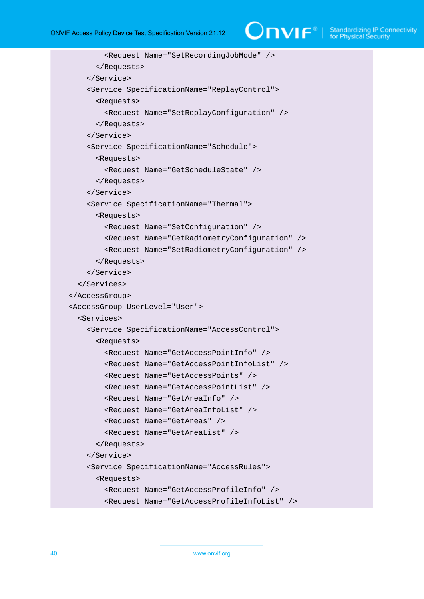# $\bigcirc$   $\mathbf{NIF}^{\text{D}}$  | Standardizing IP Connectivity

```
 <Request Name="SetRecordingJobMode" />
       </Requests>
     </Service>
     <Service SpecificationName="ReplayControl">
       <Requests>
         <Request Name="SetReplayConfiguration" />
       </Requests>
     </Service>
     <Service SpecificationName="Schedule">
       <Requests>
         <Request Name="GetScheduleState" />
       </Requests>
     </Service>
     <Service SpecificationName="Thermal">
       <Requests>
         <Request Name="SetConfiguration" />
         <Request Name="GetRadiometryConfiguration" />
         <Request Name="SetRadiometryConfiguration" />
       </Requests>
     </Service>
   </Services>
 </AccessGroup>
 <AccessGroup UserLevel="User">
   <Services>
     <Service SpecificationName="AccessControl">
       <Requests>
         <Request Name="GetAccessPointInfo" />
         <Request Name="GetAccessPointInfoList" />
         <Request Name="GetAccessPoints" />
         <Request Name="GetAccessPointList" />
         <Request Name="GetAreaInfo" />
         <Request Name="GetAreaInfoList" />
         <Request Name="GetAreas" />
         <Request Name="GetAreaList" />
       </Requests>
     </Service>
     <Service SpecificationName="AccessRules">
       <Requests>
         <Request Name="GetAccessProfileInfo" />
         <Request Name="GetAccessProfileInfoList" />
```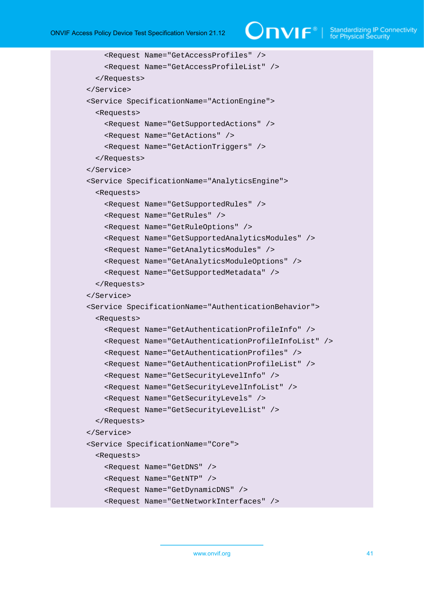```
 <Request Name="GetAccessProfiles" />
     <Request Name="GetAccessProfileList" />
   </Requests>
 </Service>
 <Service SpecificationName="ActionEngine">
   <Requests>
     <Request Name="GetSupportedActions" />
     <Request Name="GetActions" />
     <Request Name="GetActionTriggers" />
   </Requests>
 </Service>
 <Service SpecificationName="AnalyticsEngine">
   <Requests>
     <Request Name="GetSupportedRules" />
     <Request Name="GetRules" />
     <Request Name="GetRuleOptions" />
     <Request Name="GetSupportedAnalyticsModules" />
     <Request Name="GetAnalyticsModules" />
     <Request Name="GetAnalyticsModuleOptions" />
     <Request Name="GetSupportedMetadata" />
   </Requests>
 </Service>
 <Service SpecificationName="AuthenticationBehavior">
   <Requests>
     <Request Name="GetAuthenticationProfileInfo" />
     <Request Name="GetAuthenticationProfileInfoList" />
     <Request Name="GetAuthenticationProfiles" />
     <Request Name="GetAuthenticationProfileList" />
     <Request Name="GetSecurityLevelInfo" />
     <Request Name="GetSecurityLevelInfoList" />
     <Request Name="GetSecurityLevels" />
     <Request Name="GetSecurityLevelList" />
   </Requests>
 </Service>
 <Service SpecificationName="Core">
   <Requests>
     <Request Name="GetDNS" />
     <Request Name="GetNTP" />
     <Request Name="GetDynamicDNS" />
     <Request Name="GetNetworkInterfaces" />
```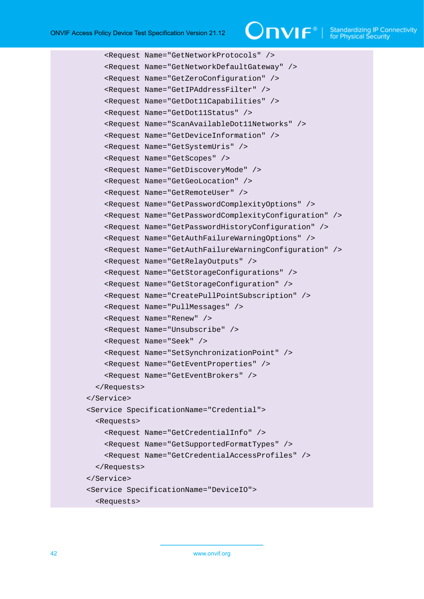# $\bigcirc$   $\bigcap$   $\bigvee$   $\bigcap$   $\bigcirc$   $\bigcirc$   $\bigcirc$  Standardizing IP Connectivity

```
 <Request Name="GetNetworkProtocols" />
     <Request Name="GetNetworkDefaultGateway" />
     <Request Name="GetZeroConfiguration" />
     <Request Name="GetIPAddressFilter" />
     <Request Name="GetDot11Capabilities" />
     <Request Name="GetDot11Status" />
     <Request Name="ScanAvailableDot11Networks" />
     <Request Name="GetDeviceInformation" />
     <Request Name="GetSystemUris" />
     <Request Name="GetScopes" />
     <Request Name="GetDiscoveryMode" />
     <Request Name="GetGeoLocation" />
     <Request Name="GetRemoteUser" />
     <Request Name="GetPasswordComplexityOptions" />
     <Request Name="GetPasswordComplexityConfiguration" />
     <Request Name="GetPasswordHistoryConfiguration" />
     <Request Name="GetAuthFailureWarningOptions" />
     <Request Name="GetAuthFailureWarningConfiguration" />
     <Request Name="GetRelayOutputs" />
     <Request Name="GetStorageConfigurations" />
     <Request Name="GetStorageConfiguration" />
     <Request Name="CreatePullPointSubscription" />
     <Request Name="PullMessages" />
     <Request Name="Renew" />
     <Request Name="Unsubscribe" />
     <Request Name="Seek" />
     <Request Name="SetSynchronizationPoint" />
     <Request Name="GetEventProperties" />
     <Request Name="GetEventBrokers" />
   </Requests>
 </Service>
 <Service SpecificationName="Credential">
   <Requests>
     <Request Name="GetCredentialInfo" />
     <Request Name="GetSupportedFormatTypes" />
     <Request Name="GetCredentialAccessProfiles" />
   </Requests>
 </Service>
 <Service SpecificationName="DeviceIO">
   <Requests>
```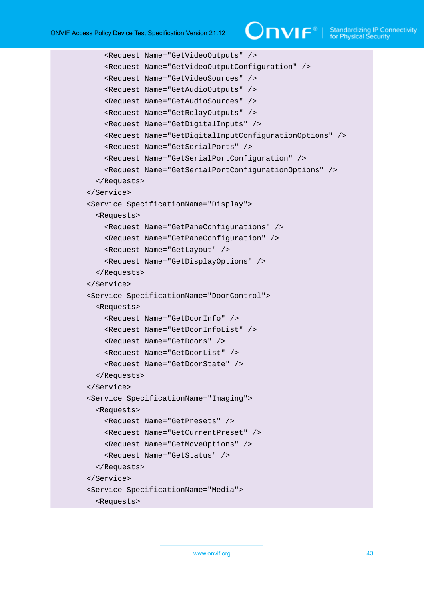# $\bigcirc$   $\blacksquare$   $\blacksquare$   $\blacksquare$   $\blacksquare$  Standardizing IP Connectivity

```
 <Request Name="GetVideoOutputs" />
     <Request Name="GetVideoOutputConfiguration" />
     <Request Name="GetVideoSources" />
     <Request Name="GetAudioOutputs" />
     <Request Name="GetAudioSources" />
     <Request Name="GetRelayOutputs" />
     <Request Name="GetDigitalInputs" />
     <Request Name="GetDigitalInputConfigurationOptions" />
     <Request Name="GetSerialPorts" />
     <Request Name="GetSerialPortConfiguration" />
     <Request Name="GetSerialPortConfigurationOptions" />
   </Requests>
 </Service>
 <Service SpecificationName="Display">
   <Requests>
     <Request Name="GetPaneConfigurations" />
     <Request Name="GetPaneConfiguration" />
     <Request Name="GetLayout" />
     <Request Name="GetDisplayOptions" />
   </Requests>
 </Service>
 <Service SpecificationName="DoorControl">
   <Requests>
     <Request Name="GetDoorInfo" />
     <Request Name="GetDoorInfoList" />
     <Request Name="GetDoors" />
     <Request Name="GetDoorList" />
     <Request Name="GetDoorState" />
   </Requests>
 </Service>
 <Service SpecificationName="Imaging">
   <Requests>
     <Request Name="GetPresets" />
     <Request Name="GetCurrentPreset" />
     <Request Name="GetMoveOptions" />
     <Request Name="GetStatus" />
   </Requests>
 </Service>
 <Service SpecificationName="Media">
   <Requests>
```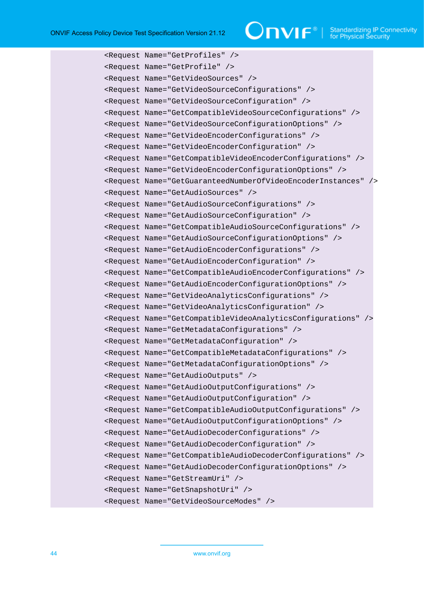# $\bigcirc$   $\mathsf{TVIF}^{\mathsf{B}}$   $\mid$  Standardizing IP Connectivity

```
 <Request Name="GetProfiles" />
 <Request Name="GetProfile" />
 <Request Name="GetVideoSources" />
 <Request Name="GetVideoSourceConfigurations" />
 <Request Name="GetVideoSourceConfiguration" />
 <Request Name="GetCompatibleVideoSourceConfigurations" />
 <Request Name="GetVideoSourceConfigurationOptions" />
 <Request Name="GetVideoEncoderConfigurations" />
 <Request Name="GetVideoEncoderConfiguration" />
 <Request Name="GetCompatibleVideoEncoderConfigurations" />
 <Request Name="GetVideoEncoderConfigurationOptions" />
 <Request Name="GetGuaranteedNumberOfVideoEncoderInstances" />
 <Request Name="GetAudioSources" />
 <Request Name="GetAudioSourceConfigurations" />
 <Request Name="GetAudioSourceConfiguration" />
 <Request Name="GetCompatibleAudioSourceConfigurations" />
 <Request Name="GetAudioSourceConfigurationOptions" />
 <Request Name="GetAudioEncoderConfigurations" />
 <Request Name="GetAudioEncoderConfiguration" />
 <Request Name="GetCompatibleAudioEncoderConfigurations" />
 <Request Name="GetAudioEncoderConfigurationOptions" />
 <Request Name="GetVideoAnalyticsConfigurations" />
 <Request Name="GetVideoAnalyticsConfiguration" />
 <Request Name="GetCompatibleVideoAnalyticsConfigurations" />
 <Request Name="GetMetadataConfigurations" />
 <Request Name="GetMetadataConfiguration" />
 <Request Name="GetCompatibleMetadataConfigurations" />
 <Request Name="GetMetadataConfigurationOptions" />
 <Request Name="GetAudioOutputs" />
 <Request Name="GetAudioOutputConfigurations" />
 <Request Name="GetAudioOutputConfiguration" />
 <Request Name="GetCompatibleAudioOutputConfigurations" />
 <Request Name="GetAudioOutputConfigurationOptions" />
 <Request Name="GetAudioDecoderConfigurations" />
 <Request Name="GetAudioDecoderConfiguration" />
 <Request Name="GetCompatibleAudioDecoderConfigurations" />
 <Request Name="GetAudioDecoderConfigurationOptions" />
 <Request Name="GetStreamUri" />
 <Request Name="GetSnapshotUri" />
 <Request Name="GetVideoSourceModes" />
```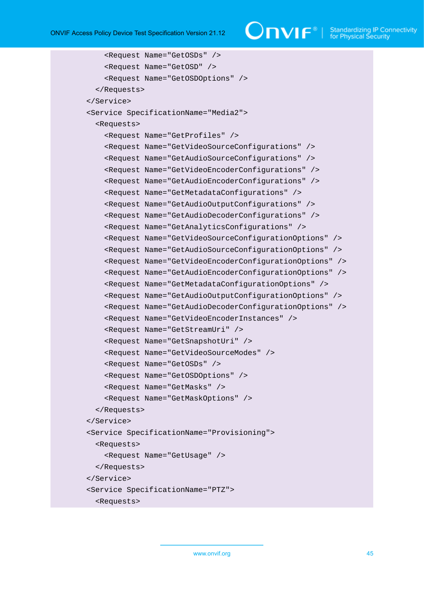ONVIF Access Policy Device Test Specification Version 21.12

```
 <Request Name="GetOSDs" />
     <Request Name="GetOSD" />
     <Request Name="GetOSDOptions" />
   </Requests>
 </Service>
 <Service SpecificationName="Media2">
   <Requests>
     <Request Name="GetProfiles" />
     <Request Name="GetVideoSourceConfigurations" />
     <Request Name="GetAudioSourceConfigurations" />
     <Request Name="GetVideoEncoderConfigurations" />
     <Request Name="GetAudioEncoderConfigurations" />
     <Request Name="GetMetadataConfigurations" />
     <Request Name="GetAudioOutputConfigurations" />
     <Request Name="GetAudioDecoderConfigurations" />
     <Request Name="GetAnalyticsConfigurations" />
     <Request Name="GetVideoSourceConfigurationOptions" />
     <Request Name="GetAudioSourceConfigurationOptions" />
     <Request Name="GetVideoEncoderConfigurationOptions" />
     <Request Name="GetAudioEncoderConfigurationOptions" />
     <Request Name="GetMetadataConfigurationOptions" />
     <Request Name="GetAudioOutputConfigurationOptions" />
     <Request Name="GetAudioDecoderConfigurationOptions" />
     <Request Name="GetVideoEncoderInstances" />
     <Request Name="GetStreamUri" />
     <Request Name="GetSnapshotUri" />
     <Request Name="GetVideoSourceModes" />
     <Request Name="GetOSDs" />
     <Request Name="GetOSDOptions" />
     <Request Name="GetMasks" />
     <Request Name="GetMaskOptions" />
   </Requests>
 </Service>
 <Service SpecificationName="Provisioning">
   <Requests>
     <Request Name="GetUsage" />
   </Requests>
 </Service>
 <Service SpecificationName="PTZ">
   <Requests>
```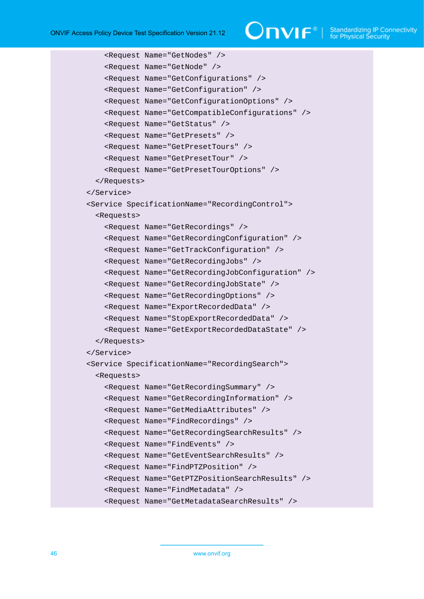```
 <Request Name="GetNodes" />
     <Request Name="GetNode" />
     <Request Name="GetConfigurations" />
     <Request Name="GetConfiguration" />
     <Request Name="GetConfigurationOptions" />
     <Request Name="GetCompatibleConfigurations" />
     <Request Name="GetStatus" />
     <Request Name="GetPresets" />
     <Request Name="GetPresetTours" />
     <Request Name="GetPresetTour" />
     <Request Name="GetPresetTourOptions" />
   </Requests>
 </Service>
 <Service SpecificationName="RecordingControl">
   <Requests>
     <Request Name="GetRecordings" />
     <Request Name="GetRecordingConfiguration" />
     <Request Name="GetTrackConfiguration" />
     <Request Name="GetRecordingJobs" />
     <Request Name="GetRecordingJobConfiguration" />
     <Request Name="GetRecordingJobState" />
     <Request Name="GetRecordingOptions" />
     <Request Name="ExportRecordedData" />
     <Request Name="StopExportRecordedData" />
     <Request Name="GetExportRecordedDataState" />
   </Requests>
 </Service>
 <Service SpecificationName="RecordingSearch">
   <Requests>
     <Request Name="GetRecordingSummary" />
     <Request Name="GetRecordingInformation" />
     <Request Name="GetMediaAttributes" />
     <Request Name="FindRecordings" />
     <Request Name="GetRecordingSearchResults" />
     <Request Name="FindEvents" />
     <Request Name="GetEventSearchResults" />
     <Request Name="FindPTZPosition" />
     <Request Name="GetPTZPositionSearchResults" />
     <Request Name="FindMetadata" />
     <Request Name="GetMetadataSearchResults" />
```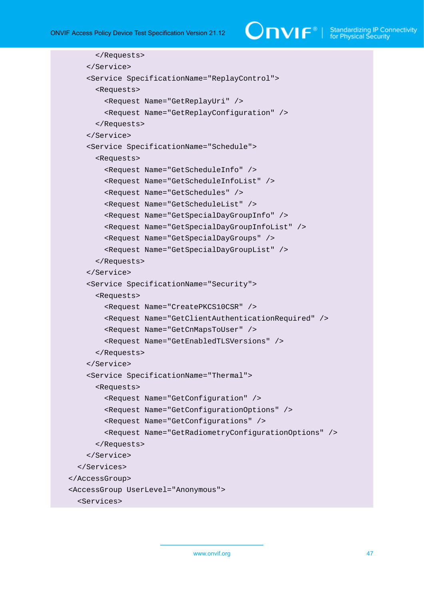$\bigcirc$   $\bigcap$   $\bigvee$   $\bigcap$   $\bigcirc$   $\bigwedge$   $\bigcirc$  Standardizing IP Connectivity

```
 </Requests>
     </Service>
     <Service SpecificationName="ReplayControl">
       <Requests>
         <Request Name="GetReplayUri" />
         <Request Name="GetReplayConfiguration" />
       </Requests>
     </Service>
     <Service SpecificationName="Schedule">
       <Requests>
         <Request Name="GetScheduleInfo" />
         <Request Name="GetScheduleInfoList" />
         <Request Name="GetSchedules" />
         <Request Name="GetScheduleList" />
         <Request Name="GetSpecialDayGroupInfo" />
         <Request Name="GetSpecialDayGroupInfoList" />
         <Request Name="GetSpecialDayGroups" />
         <Request Name="GetSpecialDayGroupList" />
       </Requests>
     </Service>
     <Service SpecificationName="Security">
       <Requests>
         <Request Name="CreatePKCS10CSR" />
         <Request Name="GetClientAuthenticationRequired" />
         <Request Name="GetCnMapsToUser" />
         <Request Name="GetEnabledTLSVersions" />
       </Requests>
     </Service>
     <Service SpecificationName="Thermal">
       <Requests>
         <Request Name="GetConfiguration" />
         <Request Name="GetConfigurationOptions" />
         <Request Name="GetConfigurations" />
         <Request Name="GetRadiometryConfigurationOptions" />
       </Requests>
     </Service>
   </Services>
 </AccessGroup>
 <AccessGroup UserLevel="Anonymous">
   <Services>
```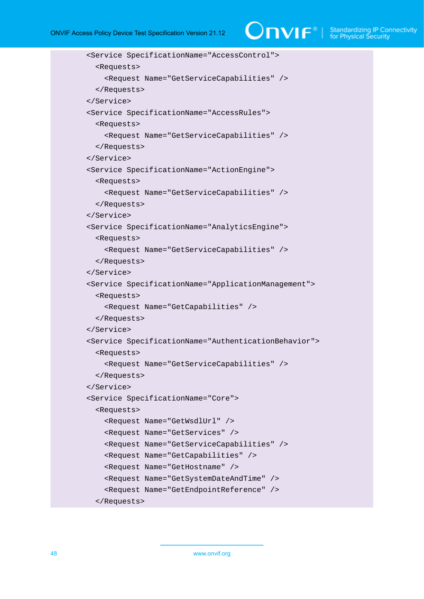# $\bigcirc$   $\blacksquare$   $\blacksquare$   $\blacksquare$   $\blacksquare$  Standardizing IP Connectivity

```
 <Service SpecificationName="AccessControl">
   <Requests>
     <Request Name="GetServiceCapabilities" />
   </Requests>
 </Service>
 <Service SpecificationName="AccessRules">
   <Requests>
     <Request Name="GetServiceCapabilities" />
   </Requests>
 </Service>
 <Service SpecificationName="ActionEngine">
   <Requests>
     <Request Name="GetServiceCapabilities" />
   </Requests>
 </Service>
 <Service SpecificationName="AnalyticsEngine">
   <Requests>
     <Request Name="GetServiceCapabilities" />
   </Requests>
 </Service>
 <Service SpecificationName="ApplicationManagement">
   <Requests>
     <Request Name="GetCapabilities" />
   </Requests>
 </Service>
 <Service SpecificationName="AuthenticationBehavior">
   <Requests>
     <Request Name="GetServiceCapabilities" />
   </Requests>
 </Service>
 <Service SpecificationName="Core">
   <Requests>
     <Request Name="GetWsdlUrl" />
     <Request Name="GetServices" />
     <Request Name="GetServiceCapabilities" />
     <Request Name="GetCapabilities" />
     <Request Name="GetHostname" />
     <Request Name="GetSystemDateAndTime" />
     <Request Name="GetEndpointReference" />
   </Requests>
```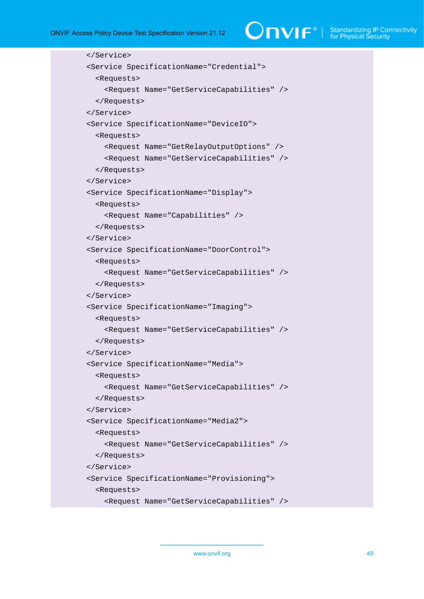```
 </Service>
 <Service SpecificationName="Credential">
   <Requests>
     <Request Name="GetServiceCapabilities" />
   </Requests>
 </Service>
 <Service SpecificationName="DeviceIO">
   <Requests>
     <Request Name="GetRelayOutputOptions" />
     <Request Name="GetServiceCapabilities" />
   </Requests>
 </Service>
 <Service SpecificationName="Display">
   <Requests>
     <Request Name="Capabilities" />
   </Requests>
 </Service>
 <Service SpecificationName="DoorControl">
   <Requests>
     <Request Name="GetServiceCapabilities" />
   </Requests>
 </Service>
 <Service SpecificationName="Imaging">
   <Requests>
     <Request Name="GetServiceCapabilities" />
   </Requests>
 </Service>
 <Service SpecificationName="Media">
   <Requests>
     <Request Name="GetServiceCapabilities" />
   </Requests>
 </Service>
 <Service SpecificationName="Media2">
   <Requests>
     <Request Name="GetServiceCapabilities" />
   </Requests>
 </Service>
 <Service SpecificationName="Provisioning">
   <Requests>
     <Request Name="GetServiceCapabilities" />
```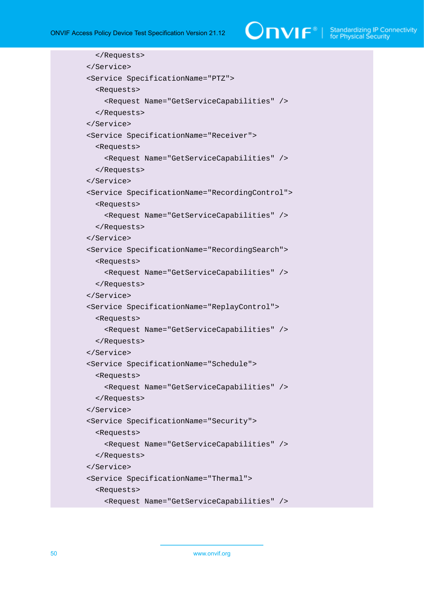```
 </Requests>
 </Service>
 <Service SpecificationName="PTZ">
   <Requests>
     <Request Name="GetServiceCapabilities" />
   </Requests>
 </Service>
 <Service SpecificationName="Receiver">
   <Requests>
     <Request Name="GetServiceCapabilities" />
   </Requests>
 </Service>
 <Service SpecificationName="RecordingControl">
   <Requests>
     <Request Name="GetServiceCapabilities" />
   </Requests>
 </Service>
 <Service SpecificationName="RecordingSearch">
   <Requests>
     <Request Name="GetServiceCapabilities" />
   </Requests>
 </Service>
 <Service SpecificationName="ReplayControl">
   <Requests>
     <Request Name="GetServiceCapabilities" />
   </Requests>
 </Service>
 <Service SpecificationName="Schedule">
   <Requests>
     <Request Name="GetServiceCapabilities" />
   </Requests>
 </Service>
 <Service SpecificationName="Security">
   <Requests>
     <Request Name="GetServiceCapabilities" />
   </Requests>
 </Service>
 <Service SpecificationName="Thermal">
   <Requests>
     <Request Name="GetServiceCapabilities" />
```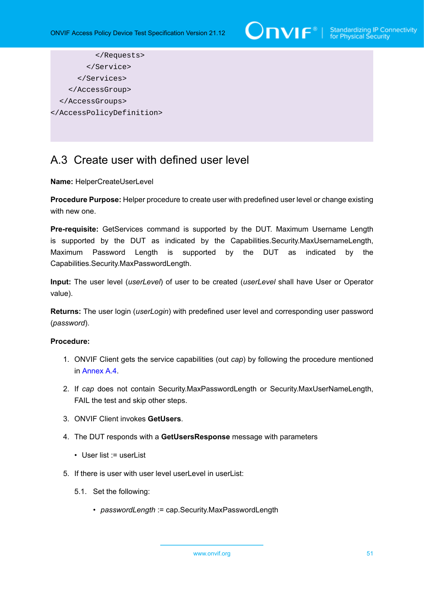

```
 </Requests>
         </Service>
       </Services>
     </AccessGroup>
   </AccessGroups>
</AccessPolicyDefinition>
```
# <span id="page-50-0"></span>A.3 Create user with defined user level

### **Name:** HelperCreateUserLevel

**Procedure Purpose:** Helper procedure to create user with predefined user level or change existing with new one.

**Pre-requisite:** GetServices command is supported by the DUT. Maximum Username Length is supported by the DUT as indicated by the Capabilities.Security.MaxUsernameLength, Maximum Password Length is supported by the DUT as indicated by the Capabilities.Security.MaxPasswordLength.

**Input:** The user level (*userLevel*) of user to be created (*userLevel* shall have User or Operator value).

**Returns:** The user login (*userLogin*) with predefined user level and corresponding user password (*password*).

### **Procedure:**

- 1. ONVIF Client gets the service capabilities (out *cap*) by following the procedure mentioned in [Annex A.4.](#page-52-0)
- 2. If *cap* does not contain Security.MaxPasswordLength or Security.MaxUserNameLength, FAIL the test and skip other steps.
- 3. ONVIF Client invokes **GetUsers**.
- 4. The DUT responds with a **GetUsersResponse** message with parameters
	- User list := userList
- 5. If there is user with user level userLevel in userList:
	- 5.1. Set the following:
		- *passwordLength* := cap.Security.MaxPasswordLength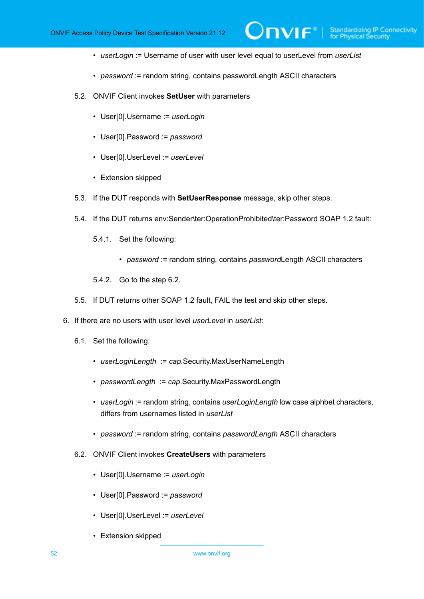• *userLogin* := Username of user with user level equal to userLevel from *userList*

 $\mathsf{D}\mathbf{N}\mathsf{I}\mathsf{F}^\ast$ 

- *password* := random string, contains passwordLength ASCII characters
- 5.2. ONVIF Client invokes **SetUser** with parameters
	- User[0].Username := *userLogin*
	- User[0].Password := *password*
	- User[0].UserLevel := *userLevel*
	- Extension skipped
- 5.3. If the DUT responds with **SetUserResponse** message, skip other steps.
- 5.4. If the DUT returns env:Sender\ter:OperationProhibited\ter:Password SOAP 1.2 fault:
	- 5.4.1. Set the following:
		- *password* := random string, contains *password*Length ASCII characters
	- 5.4.2. Go to the step 6.2.
- 5.5. If DUT returns other SOAP 1.2 fault, FAIL the test and skip other steps.
- 6. If there are no users with user level *userLevel* in *userList*:
	- 6.1. Set the following:
		- *userLoginLength* := *cap*.Security.MaxUserNameLength
		- *passwordLength* := *cap*.Security.MaxPasswordLength
		- *userLogin* := random string, contains *userLoginLength* low case alphbet characters, differs from usernames listed in *userList*
		- *password* := random string, contains *passwordLength* ASCII characters
	- 6.2. ONVIF Client invokes **CreateUsers** with parameters
		- User[0].Username := *userLogin*
		- User[0].Password := *password*
		- User[0].UserLevel := *userLevel*
		- Extension skipped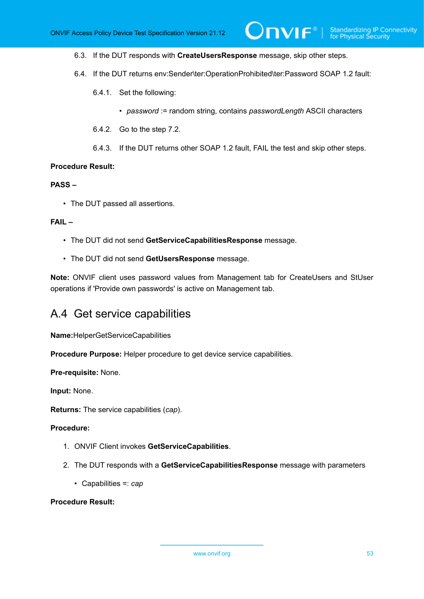6.3. If the DUT responds with **CreateUsersResponse** message, skip other steps.

- 6.4. If the DUT returns env:Sender\ter:OperationProhibited\ter:Password SOAP 1.2 fault:
	- 6.4.1. Set the following:
		- *password* := random string, contains *passwordLength* ASCII characters

 $\mathsf{D}\mathbf{n}\mathsf{V}$ lf $^{\circ}$ l

- 6.4.2. Go to the step 7.2.
- 6.4.3. If the DUT returns other SOAP 1.2 fault, FAIL the test and skip other steps.

#### **Procedure Result:**

## **PASS –**

• The DUT passed all assertions.

#### **FAIL –**

- The DUT did not send **GetServiceCapabilitiesResponse** message.
- The DUT did not send **GetUsersResponse** message.

**Note:** ONVIF client uses password values from Management tab for CreateUsers and StUser operations if 'Provide own passwords' is active on Management tab.

## <span id="page-52-0"></span>A.4 Get service capabilities

**Name:**HelperGetServiceCapabilities

**Procedure Purpose:** Helper procedure to get device service capabilities.

**Pre-requisite:** None.

**Input:** None.

**Returns:** The service capabilities (*cap*).

### **Procedure:**

- 1. ONVIF Client invokes **GetServiceCapabilities**.
- 2. The DUT responds with a **GetServiceCapabilitiesResponse** message with parameters
	- Capabilities =: *cap*

## **Procedure Result:**